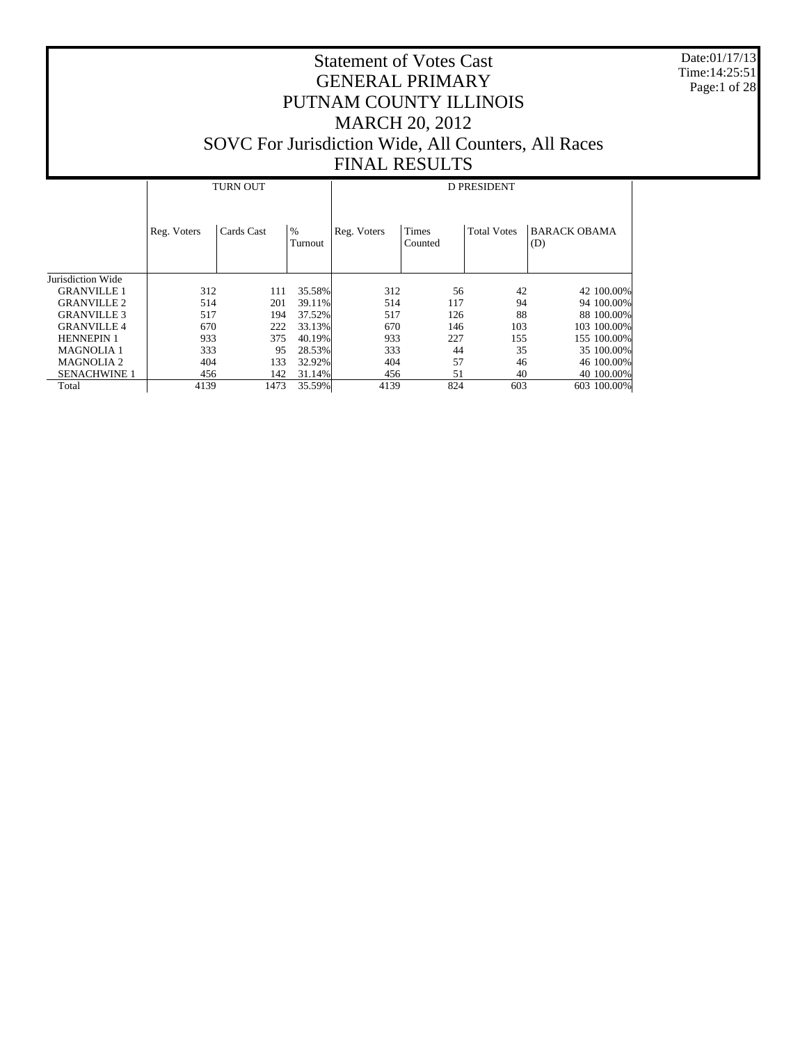Date:01/17/13 Time:14:25:51 Page:1 of 28

|                     |             | <b>TURN OUT</b> |                 | <b>D PRESIDENT</b> |                         |                    |                            |  |  |  |  |
|---------------------|-------------|-----------------|-----------------|--------------------|-------------------------|--------------------|----------------------------|--|--|--|--|
|                     | Reg. Voters | Cards Cast      | $\%$<br>Turnout | Reg. Voters        | <b>Times</b><br>Counted | <b>Total Votes</b> | <b>BARACK OBAMA</b><br>(D) |  |  |  |  |
| Jurisdiction Wide   |             |                 |                 |                    |                         |                    |                            |  |  |  |  |
| <b>GRANVILLE 1</b>  | 312         | 111             | 35.58%          | 312                | 56                      | 42                 | 42 100.00%                 |  |  |  |  |
| <b>GRANVILLE 2</b>  | 514         | 201             | 39.11%          | 514                | 117                     | 94                 | 94 100.00%                 |  |  |  |  |
| <b>GRANVILLE 3</b>  | 517         | 194             | 37.52%          | 517                | 126                     | 88                 | 88 100.00%                 |  |  |  |  |
| <b>GRANVILLE 4</b>  | 670         | 222             | 33.13%          | 670                | 146                     | 103                | 103 100.00%                |  |  |  |  |
| <b>HENNEPIN 1</b>   | 933         | 375             | 40.19%          | 933                | 227                     | 155                | 155 100.00%                |  |  |  |  |
| <b>MAGNOLIA1</b>    | 333         | 95              | 28.53%          | 333                | 44                      | 35                 | 35 100,00%                 |  |  |  |  |
| <b>MAGNOLIA 2</b>   | 404         | 133             | 32.92%          | 404                | 57                      | 46                 | 46 100.00%                 |  |  |  |  |
| <b>SENACHWINE 1</b> | 456         | 142             | 31.14%          | 456                | 51                      | 40                 | 40 100.00%                 |  |  |  |  |
| Total               | 4139        | 1473            | 35.59%          | 4139               | 824                     | 603                | 603 100.00%                |  |  |  |  |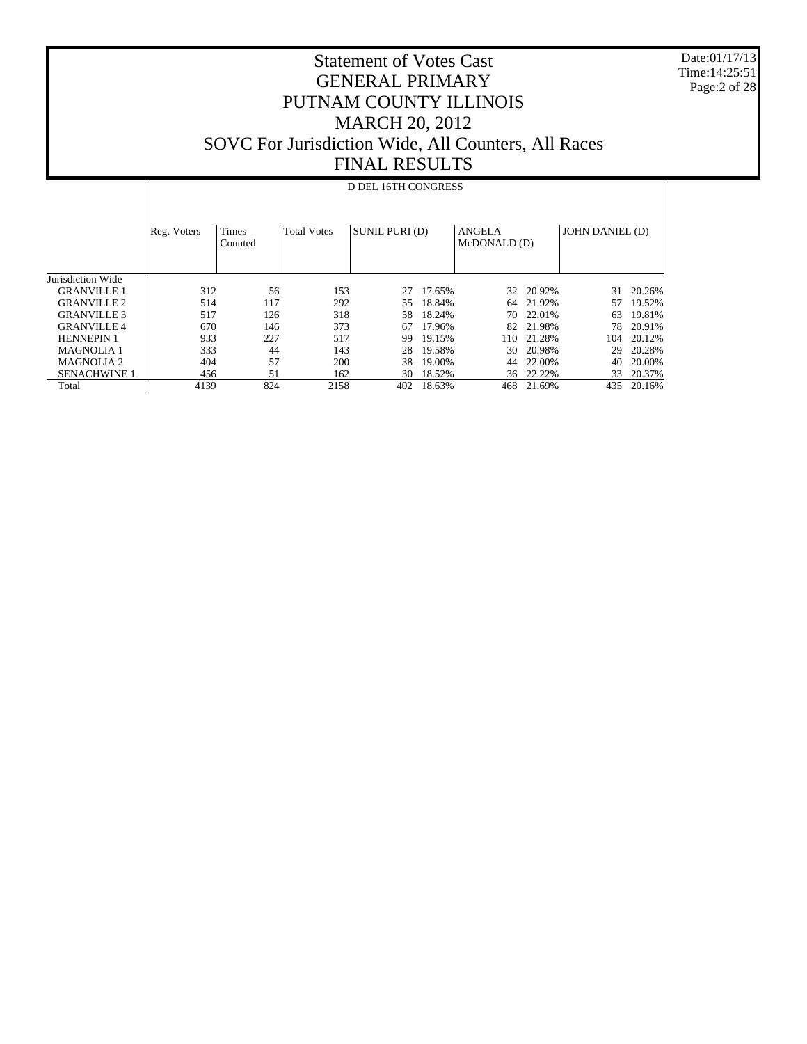Date:01/17/13 Time:14:25:51 Page:2 of 28

## Statement of Votes Cast GENERAL PRIMARY PUTNAM COUNTY ILLINOIS MARCH 20, 2012 SOVC For Jurisdiction Wide, All Counters, All Races FINAL RESULTS

## D DEL 16TH CONGRESS

|                       | Reg. Voters | <b>Times</b><br>Counted | <b>Total Votes</b> | SUNIL PURI (D) |        | <b>ANGELA</b><br>McDONALD (D) |        | JOHN DANIEL (D) |        |
|-----------------------|-------------|-------------------------|--------------------|----------------|--------|-------------------------------|--------|-----------------|--------|
| Jurisdiction Wide     |             |                         |                    |                |        |                               |        |                 |        |
| <b>GRANVILLE 1</b>    | 312         | 56                      | 153                | 27             | 17.65% | 32                            | 20.92% | 31              | 20.26% |
| <b>GRANVILLE 2</b>    | 514         | 117                     | 292                | 55             | 18.84% | 64                            | 21.92% | 57              | 19.52% |
| <b>GRANVILLE 3</b>    | 517         | 126                     | 318                | 58             | 18.24% | 70                            | 22.01% | 63              | 19.81% |
| <b>GRANVILLE4</b>     | 670         | 146                     | 373                | 67             | 17.96% | 82                            | 21.98% | 78              | 20.91% |
| <b>HENNEPIN 1</b>     | 933         | 227                     | 517                | 99             | 19.15% | 110                           | 21.28% | 104             | 20.12% |
| <b>MAGNOLIA 1</b>     | 333         | 44                      | 143                | 28             | 19.58% | 30                            | 20.98% | 29              | 20.28% |
| MAGNOLIA <sub>2</sub> | 404         | 57                      | 200                | 38             | 19.00% | 44                            | 22.00% | 40              | 20.00% |
| <b>SENACHWINE 1</b>   | 456         | 51                      | 162                | 30             | 18.52% | 36                            | 22.22% | 33              | 20.37% |
| Total                 | 4139        | 824                     | 2158               | 402            | 18.63% | 468                           | 21.69% | 435             | 20.16% |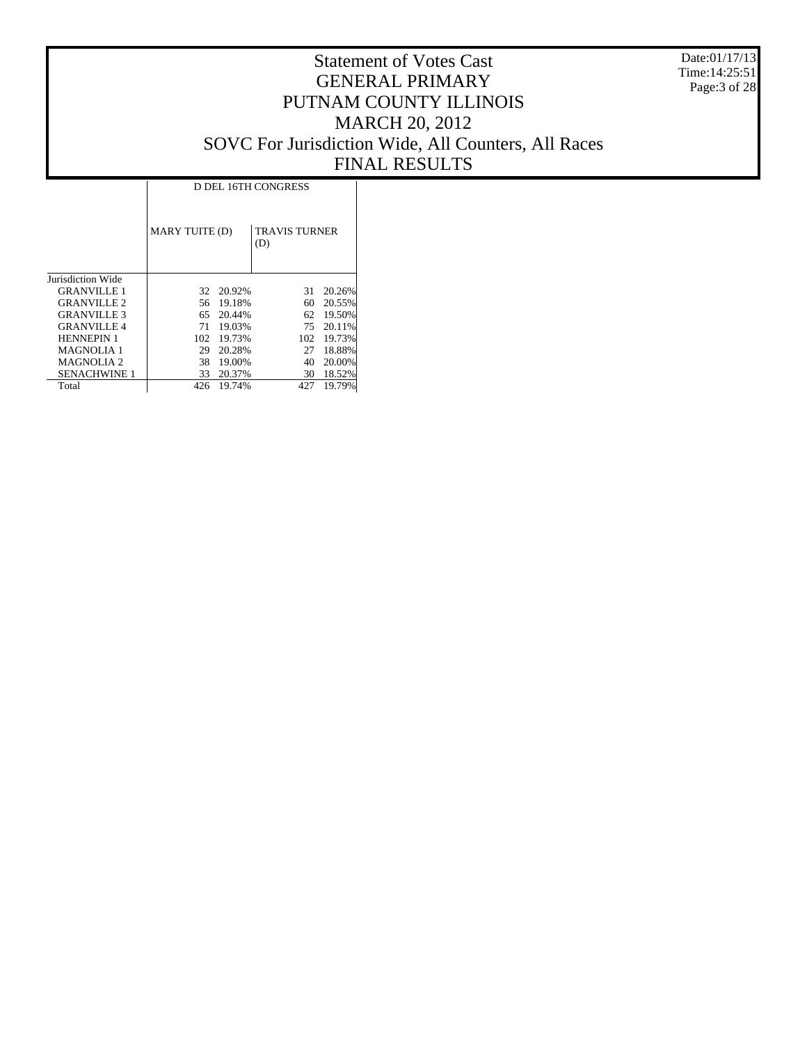Date:01/17/13 Time:14:25:51 Page:3 of 28

|                     |                |        | <b>D DEL 16TH CONGRESS</b>  |        |
|---------------------|----------------|--------|-----------------------------|--------|
|                     | MARY TUITE (D) |        | <b>TRAVIS TURNER</b><br>(D) |        |
| Jurisdiction Wide   |                |        |                             |        |
| <b>GRANVILLE 1</b>  | 32             | 20.92% | 31                          | 20.26% |
| <b>GRANVILLE 2</b>  | 56             | 19.18% | 60                          | 20.55% |
| <b>GRANVILLE 3</b>  | 65             | 20.44% | 62                          | 19.50% |
| <b>GRANVILLE 4</b>  | 71             | 19.03% | 75                          | 20.11% |
| <b>HENNEPIN 1</b>   | 102            | 19.73% | 102                         | 19.73% |
| <b>MAGNOLIA 1</b>   | 29             | 20.28% | 27                          | 18.88% |
| <b>MAGNOLIA 2</b>   | 38             | 19.00% | 40                          | 20.00% |
| <b>SENACHWINE 1</b> | 33             | 20.37% | 30                          | 18.52% |
| Total               | 426            | 19.74% | 427                         | 19.79% |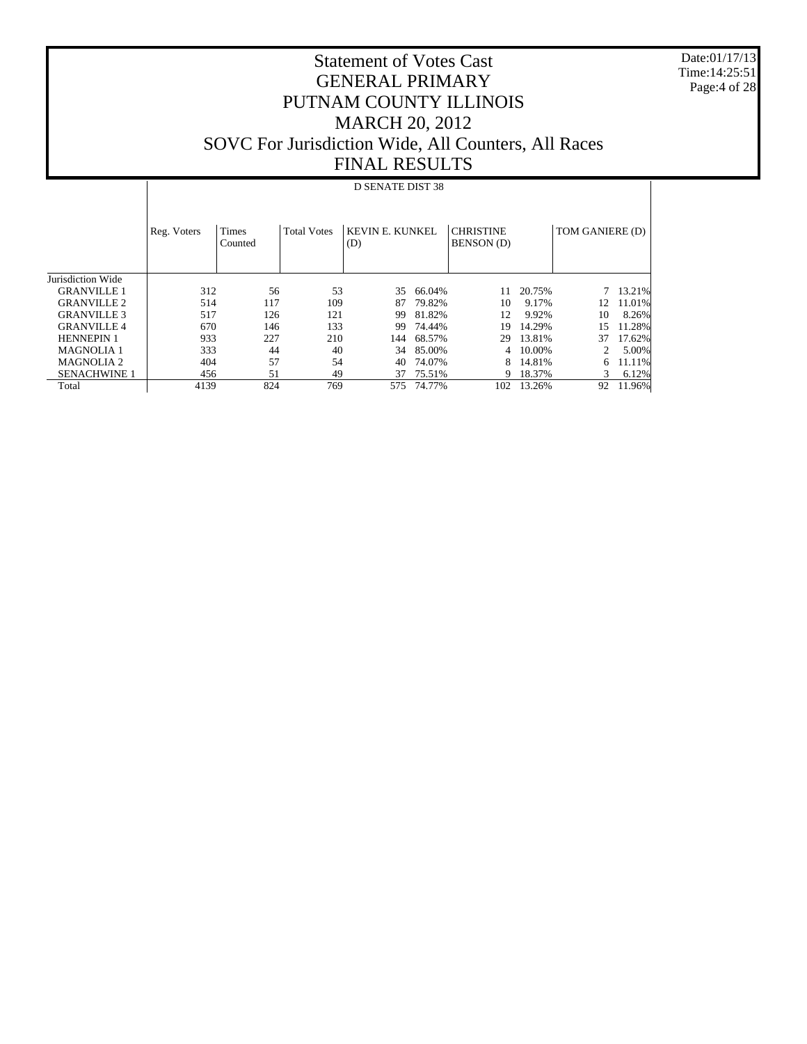Date:01/17/13 Time:14:25:51 Page:4 of 28

|                     |             | D SENATE DIST 38        |                    |                        |        |                                       |        |                 |        |  |  |  |
|---------------------|-------------|-------------------------|--------------------|------------------------|--------|---------------------------------------|--------|-----------------|--------|--|--|--|
|                     | Reg. Voters | <b>Times</b><br>Counted | <b>Total Votes</b> | KEVIN E. KUNKEL<br>(D) |        | <b>CHRISTINE</b><br><b>BENSON</b> (D) |        | TOM GANIERE (D) |        |  |  |  |
| Jurisdiction Wide   |             |                         |                    |                        |        |                                       |        |                 |        |  |  |  |
| <b>GRANVILLE 1</b>  | 312         | 56                      | 53                 | 35                     | 66.04% | 11                                    | 20.75% |                 | 13.21% |  |  |  |
| <b>GRANVILLE 2</b>  | 514         | 117                     | 109                | 87                     | 79.82% | 10                                    | 9.17%  | 12              | 11.01% |  |  |  |
| <b>GRANVILLE 3</b>  | 517         | 126                     | 121                | 99                     | 81.82% | 12                                    | 9.92%  | 10              | 8.26%  |  |  |  |
| <b>GRANVILLE 4</b>  | 670         | 146                     | 133                | 99                     | 74.44% | 19                                    | 14.29% | 15              | 11.28% |  |  |  |
| <b>HENNEPIN 1</b>   | 933         | 227                     | 210                | 144                    | 68.57% | 29                                    | 13.81% | 37              | 17.62% |  |  |  |
| <b>MAGNOLIA 1</b>   | 333         | 44                      | 40                 | 34                     | 85.00% | 4                                     | 10.00% | 2               | 5.00%  |  |  |  |
| <b>MAGNOLIA2</b>    | 404         | 57                      | 54                 | 40                     | 74.07% | 8                                     | 14.81% | 6               | 11.11% |  |  |  |
| <b>SENACHWINE 1</b> | 456         | 51                      | 49                 | 37                     | 75.51% | 9                                     | 18.37% | 3               | 6.12%  |  |  |  |
| Total               | 4139        | 824                     | 769                | 575                    | 74.77% | 102                                   | 13.26% | 92              | 11.96% |  |  |  |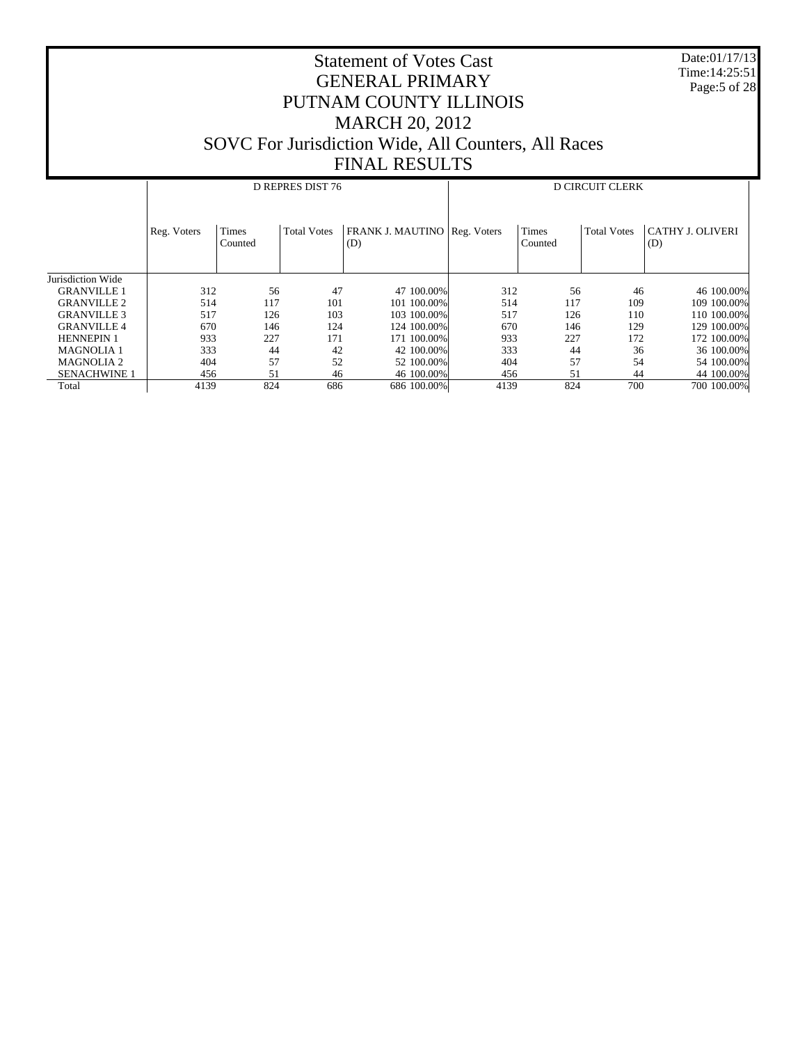Date:01/17/13 Time:14:25:51 Page:5 of 28

|                     |             |                  | D REPRES DIST 76   |                                            | <b>D CIRCUIT CLERK</b> |                         |                    |                                |  |
|---------------------|-------------|------------------|--------------------|--------------------------------------------|------------------------|-------------------------|--------------------|--------------------------------|--|
|                     | Reg. Voters | Times<br>Counted | <b>Total Votes</b> | <b>FRANK J. MAUTINO Reg. Voters</b><br>(D) |                        | <b>Times</b><br>Counted | <b>Total Votes</b> | <b>CATHY J. OLIVERI</b><br>(D) |  |
| Jurisdiction Wide   |             |                  |                    |                                            |                        |                         |                    |                                |  |
| <b>GRANVILLE 1</b>  | 312         | 56               | 47                 | 47 100,00%                                 | 312                    | 56                      | 46                 | 46 100.00%                     |  |
| <b>GRANVILLE 2</b>  | 514         | 117              | 101                | 101 100,00%                                | 514                    | 117                     | 109                | 109 100.00%                    |  |
| <b>GRANVILLE 3</b>  | 517         | 126              | 103                | 103 100.00%                                | 517                    | 126                     | 110                | 110 100.00%                    |  |
| <b>GRANVILLE 4</b>  | 670         | 146              | 124                | 124 100.00%                                | 670                    | 146                     | 129                | 129 100.00%                    |  |
| <b>HENNEPIN 1</b>   | 933         | 227              | 171                | 171 100.00%                                | 933                    | 227                     | 172                | 172 100.00%                    |  |
| <b>MAGNOLIA1</b>    | 333         | 44               | 42                 | 42 100,00%                                 | 333                    | 44                      | 36                 | 36 100.00%                     |  |
| <b>MAGNOLIA 2</b>   | 404         | 57               | 52                 | 52 100,00%                                 | 404                    | 57                      | 54                 | 54 100,00%                     |  |
| <b>SENACHWINE 1</b> | 456         | 51               | 46                 | 46 100,00%                                 | 456                    | 51                      | 44                 | 44 100.00%                     |  |
| Total               | 4139        | 824              | 686                | 686 100.00%                                | 4139                   | 824                     | 700                | 700 100,00%                    |  |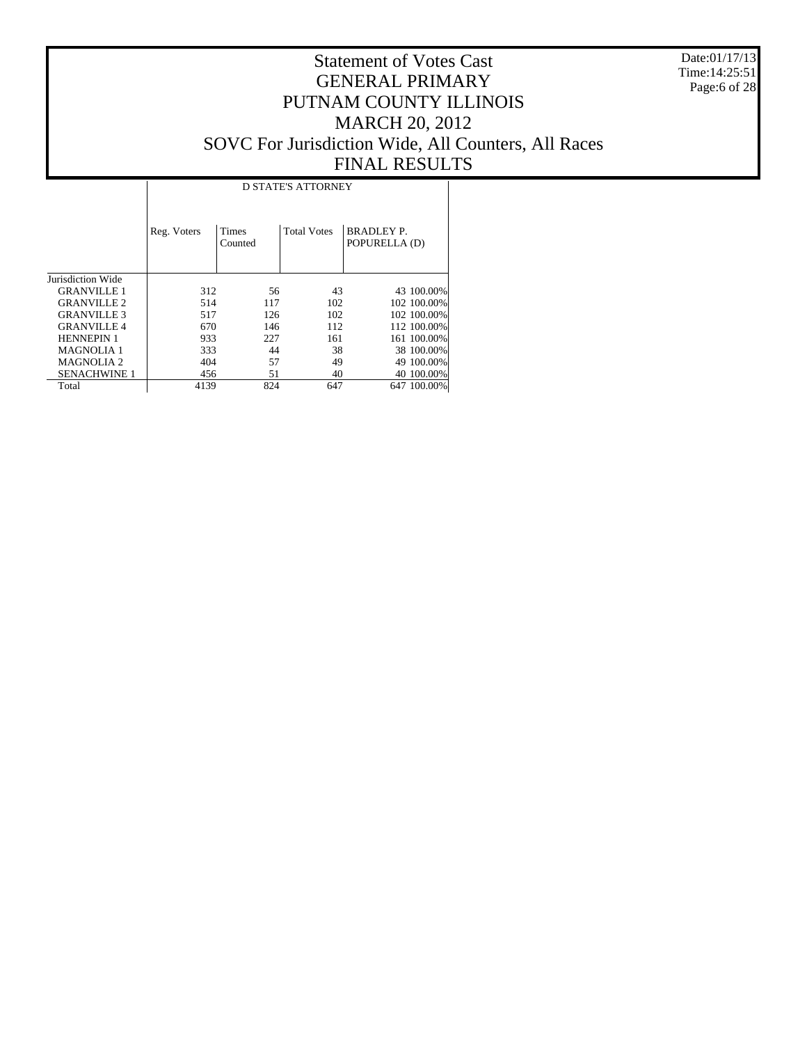Date:01/17/13 Time:14:25:51 Page:6 of 28

|                     |             | <b>D STATE'S ATTORNEY</b> |                    |                                    |  |  |  |  |  |  |  |
|---------------------|-------------|---------------------------|--------------------|------------------------------------|--|--|--|--|--|--|--|
|                     | Reg. Voters | <b>Times</b><br>Counted   | <b>Total Votes</b> | <b>BRADLEY P.</b><br>POPURELLA (D) |  |  |  |  |  |  |  |
| Jurisdiction Wide   |             |                           |                    |                                    |  |  |  |  |  |  |  |
| <b>GRANVILLE 1</b>  | 312         | 56                        | 43                 | 43 100.00%                         |  |  |  |  |  |  |  |
| <b>GRANVILLE 2</b>  | 514         | 117                       | 102                | 102 100,00%                        |  |  |  |  |  |  |  |
| <b>GRANVILLE 3</b>  | 517         | 126                       | 102                | 102 100,00%                        |  |  |  |  |  |  |  |
| <b>GRANVILLE 4</b>  | 670         | 146                       | 112                | 112 100.00%                        |  |  |  |  |  |  |  |
| <b>HENNEPIN 1</b>   | 933         | 227                       | 161                | 161 100.00%                        |  |  |  |  |  |  |  |
| <b>MAGNOLIA 1</b>   | 333         | 44                        | 38                 | 38 100.00%                         |  |  |  |  |  |  |  |
| <b>MAGNOLIA 2</b>   | 404         | 57                        | 49                 | 49 100.00%                         |  |  |  |  |  |  |  |
| <b>SENACHWINE 1</b> | 456         | 51                        | 40                 | 40 100,00%                         |  |  |  |  |  |  |  |
| Total               | 4139        | 824                       | 647                | 647 100.00%                        |  |  |  |  |  |  |  |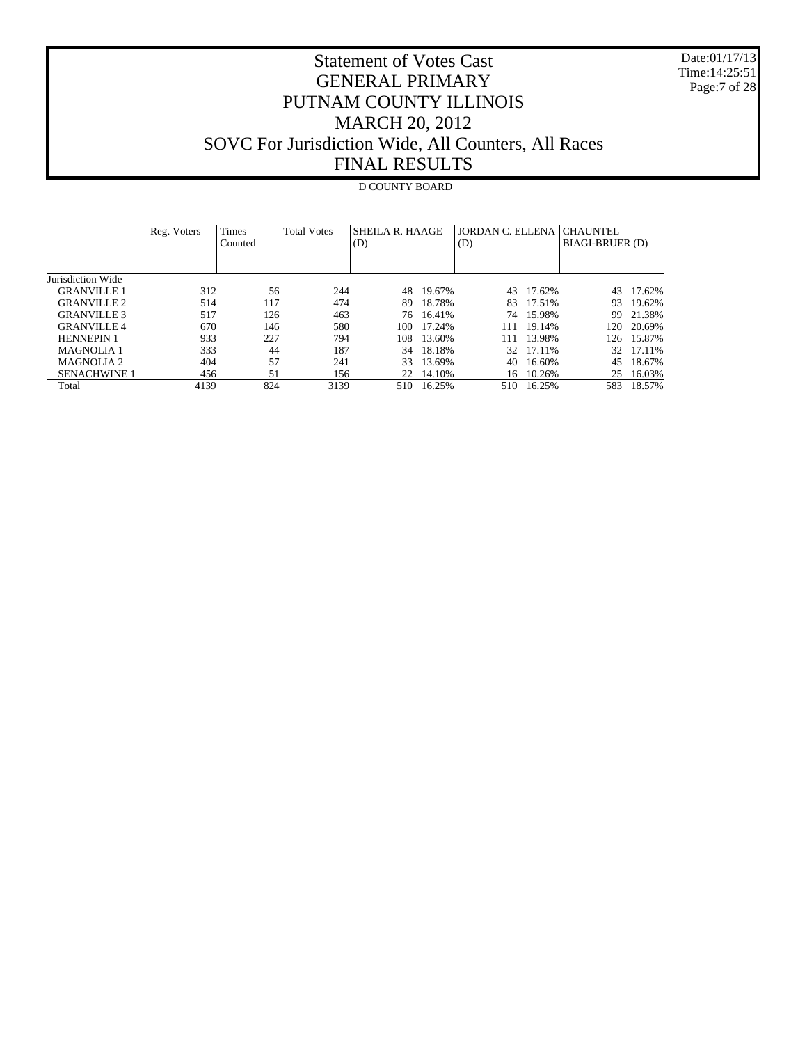Date:01/17/13 Time:14:25:51 Page:7 of 28

## Statement of Votes Cast GENERAL PRIMARY PUTNAM COUNTY ILLINOIS MARCH 20, 2012 SOVC For Jurisdiction Wide, All Counters, All Races FINAL RESULTS

# D COUNTY BOARD

|                     | Reg. Voters | Times<br>Counted | <b>Total Votes</b> | <b>SHEILA R. HAAGE</b><br>(D) |        | JORDAN C. ELLENA CHAUNTEL<br>(D) |        | <b>BIAGI-BRUER (D)</b> |        |
|---------------------|-------------|------------------|--------------------|-------------------------------|--------|----------------------------------|--------|------------------------|--------|
|                     |             |                  |                    |                               |        |                                  |        |                        |        |
| Jurisdiction Wide   |             |                  |                    |                               |        |                                  |        |                        |        |
| <b>GRANVILLE 1</b>  | 312         | 56               | 244                | 48                            | 19.67% | 43                               | 17.62% | 43                     | 17.62% |
| <b>GRANVILLE 2</b>  | 514         | 117              | 474                | 89                            | 18.78% | 83                               | 17.51% | 93                     | 19.62% |
| <b>GRANVILLE 3</b>  | 517         | 126              | 463                | 76                            | 16.41% | 74                               | 15.98% | 99                     | 21.38% |
| <b>GRANVILLE4</b>   | 670         | 146              | 580                | 100                           | 17.24% | 111                              | 19.14% | 120                    | 20.69% |
| <b>HENNEPIN 1</b>   | 933         | 227              | 794                | 108                           | 13.60% | 111                              | 13.98% | 126                    | 15.87% |
| <b>MAGNOLIA 1</b>   | 333         | 44               | 187                | 34                            | 18.18% | 32                               | 17.11% | 32.                    | 17.11% |
| <b>MAGNOLIA 2</b>   | 404         | 57               | 241                | 33                            | 13.69% | 40                               | 16.60% | 45                     | 18.67% |
| <b>SENACHWINE 1</b> | 456         | 51               | 156                | 22                            | 14.10% | 16                               | 10.26% | 25                     | 16.03% |
| Total               | 4139        | 824              | 3139               | 510                           | 16.25% | 510                              | 16.25% | 583                    | 18.57% |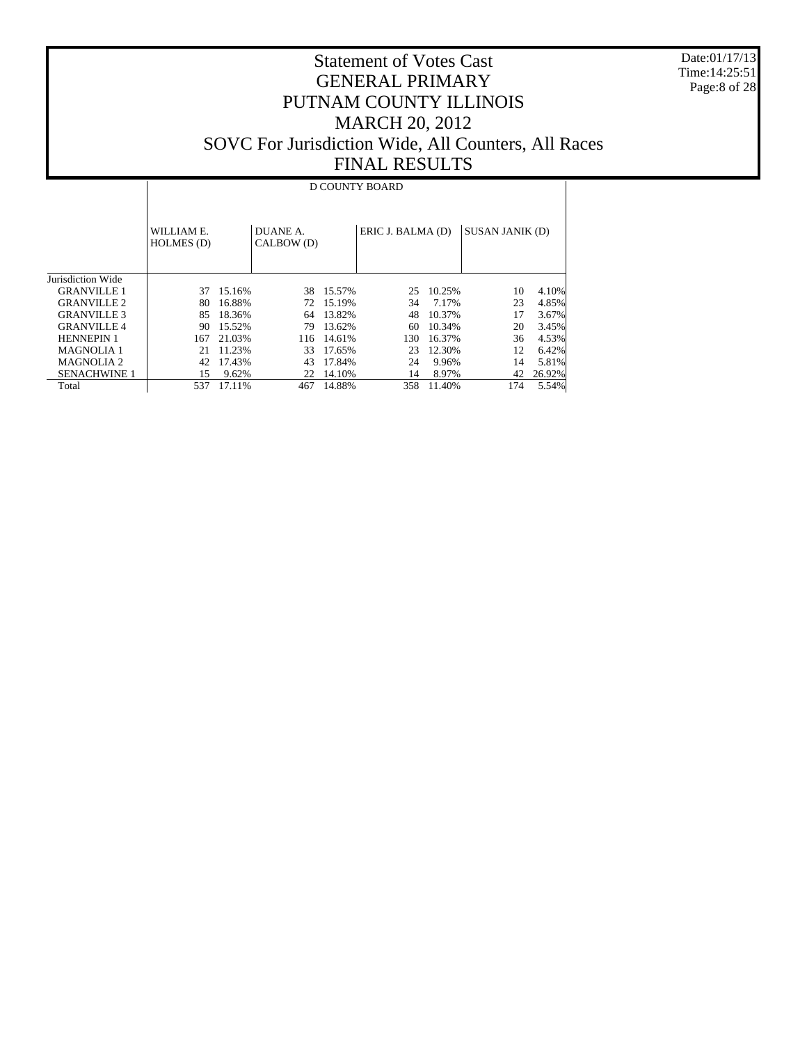Date:01/17/13 Time:14:25:51 Page:8 of 28

## Statement of Votes Cast GENERAL PRIMARY PUTNAM COUNTY ILLINOIS MARCH 20, 2012 SOVC For Jurisdiction Wide, All Counters, All Races FINAL RESULTS

#### D COUNTY BOARD

|                          | WILLIAM E.<br>HOLMES (D) |        | DUANE A.<br>CALBOW (D) |        | ERIC J. BALMA (D) |        | <b>SUSAN JANIK (D)</b> |        |
|--------------------------|--------------------------|--------|------------------------|--------|-------------------|--------|------------------------|--------|
| <b>Inrisdiction Wide</b> |                          |        |                        |        |                   |        |                        |        |
| <b>GRANVILLE 1</b>       | 37                       | 15.16% | 38                     | 15.57% | 25                | 10.25% | 10                     | 4.10%  |
| <b>GRANVILLE 2</b>       | 80                       | 16.88% | 72.                    | 15.19% | 34                | 7.17%  | 23                     | 4.85%  |
| <b>GRANVILLE 3</b>       | 85                       | 18.36% | 64                     | 13.82% | 48                | 10.37% | 17                     | 3.67%  |
| <b>GRANVILLE4</b>        | 90                       | 15.52% | 79                     | 13.62% | 60                | 10.34% | 20                     | 3.45%  |
| <b>HENNEPIN 1</b>        | 167                      | 21.03% | 116                    | 14.61% | 130               | 16.37% | 36                     | 4.53%  |
| <b>MAGNOLIA 1</b>        | 21                       | 11.23% | 33                     | 17.65% | 23                | 12.30% | 12                     | 6.42%  |
| <b>MAGNOLIA 2</b>        | 42                       | 17.43% | 43                     | 17.84% | 24                | 9.96%  | 14                     | 5.81%  |
| <b>SENACHWINE 1</b>      | 15                       | 9.62%  | 22                     | 14.10% | 14                | 8.97%  | 42                     | 26.92% |
| Total                    | 537                      | 17.11% | 467                    | 14.88% | 358               | 11.40% | 174                    | 5.54%  |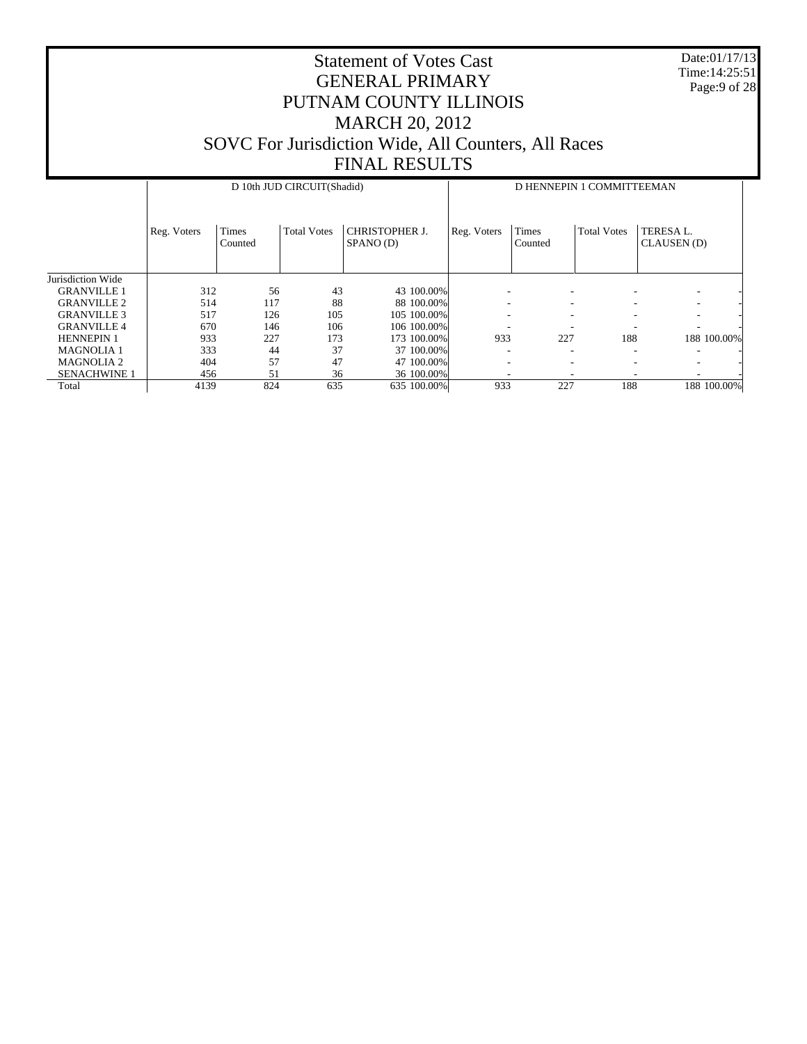Date:01/17/13 Time:14:25:51 Page:9 of 28

|                     |             |                  | D 10th JUD CIRCUIT(Shadid) |                                    | D HENNEPIN 1 COMMITTEEMAN |                  |                    |                          |  |  |  |
|---------------------|-------------|------------------|----------------------------|------------------------------------|---------------------------|------------------|--------------------|--------------------------|--|--|--|
|                     | Reg. Voters | Times<br>Counted | <b>Total Votes</b>         | <b>CHRISTOPHER J.</b><br>SPANO (D) | Reg. Voters               | Times<br>Counted | <b>Total Votes</b> | TERESA L.<br>CLAUSEN (D) |  |  |  |
| Jurisdiction Wide   |             |                  |                            |                                    |                           |                  |                    |                          |  |  |  |
| <b>GRANVILLE 1</b>  | 312         | 56               | 43                         | 43 100,00%                         |                           |                  |                    | ۰                        |  |  |  |
| <b>GRANVILLE 2</b>  | 514         | 117              | 88                         | 88 100,00%                         | ۰                         | ۰                |                    | $\overline{\phantom{a}}$ |  |  |  |
| <b>GRANVILLE 3</b>  | 517         | 126              | 105                        | 105 100,00%                        | ۰                         | ۰                | -                  | $\overline{\phantom{a}}$ |  |  |  |
| <b>GRANVILLE4</b>   | 670         | 146              | 106                        | 106 100,00%                        | ۰                         |                  |                    | ۰                        |  |  |  |
| <b>HENNEPIN 1</b>   | 933         | 227              | 173                        | 173 100.00%                        | 933                       | 227              | 188                | 188 100.00%              |  |  |  |
| <b>MAGNOLIA 1</b>   | 333         | 44               | 37                         | 37 100,00%                         | ۰                         |                  |                    |                          |  |  |  |
| <b>MAGNOLIA 2</b>   | 404         | 57               | 47                         | 47 100,00%                         |                           |                  |                    | $\overline{\phantom{a}}$ |  |  |  |
| <b>SENACHWINE 1</b> | 456         | 51               | 36                         | 36 100.00%                         |                           |                  |                    |                          |  |  |  |
| Total               | 4139        | 824              | 635                        | 635 100.00%                        | 933                       | 227              | 188                | 188 100.00%              |  |  |  |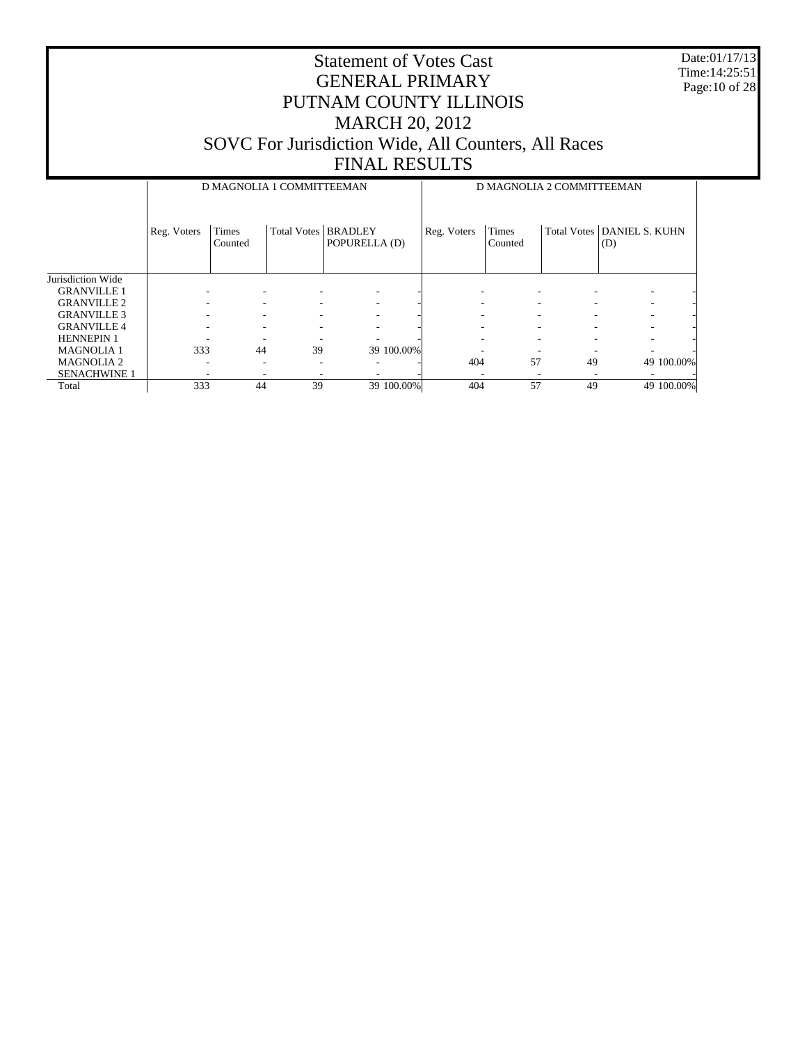Date:01/17/13 Time:14:25:51 Page:10 of 28

|                     |             | D MAGNOLIA 1 COMMITTEEMAN |                       |               | D MAGNOLIA 2 COMMITTEEMAN |                  |    |                                   |  |  |
|---------------------|-------------|---------------------------|-----------------------|---------------|---------------------------|------------------|----|-----------------------------------|--|--|
|                     | Reg. Voters | Times<br>Counted          | Total Votes   BRADLEY | POPURELLA (D) | Reg. Voters               | Times<br>Counted |    | Total Votes DANIEL S. KUHN<br>(D) |  |  |
| Jurisdiction Wide   |             |                           |                       |               |                           |                  |    |                                   |  |  |
| <b>GRANVILLE 1</b>  |             |                           |                       |               |                           |                  |    |                                   |  |  |
| <b>GRANVILLE 2</b>  |             |                           |                       |               |                           | -                |    |                                   |  |  |
| <b>GRANVILLE 3</b>  |             |                           |                       |               |                           | -                | ۰  |                                   |  |  |
| <b>GRANVILLE 4</b>  |             |                           |                       |               |                           |                  |    |                                   |  |  |
| <b>HENNEPIN 1</b>   |             |                           |                       |               |                           |                  |    |                                   |  |  |
| <b>MAGNOLIA 1</b>   | 333         | 44                        | 39                    | 39 100.00%    |                           |                  |    |                                   |  |  |
| <b>MAGNOLIA 2</b>   | -           |                           |                       |               | 404                       | 57               | 49 | 49 100,00%                        |  |  |
| <b>SENACHWINE 1</b> |             |                           |                       |               |                           |                  |    |                                   |  |  |
| Total               | 333         | 44                        | 39                    | 39 100.00%    | 404                       | 57               | 49 | 49 100.00%                        |  |  |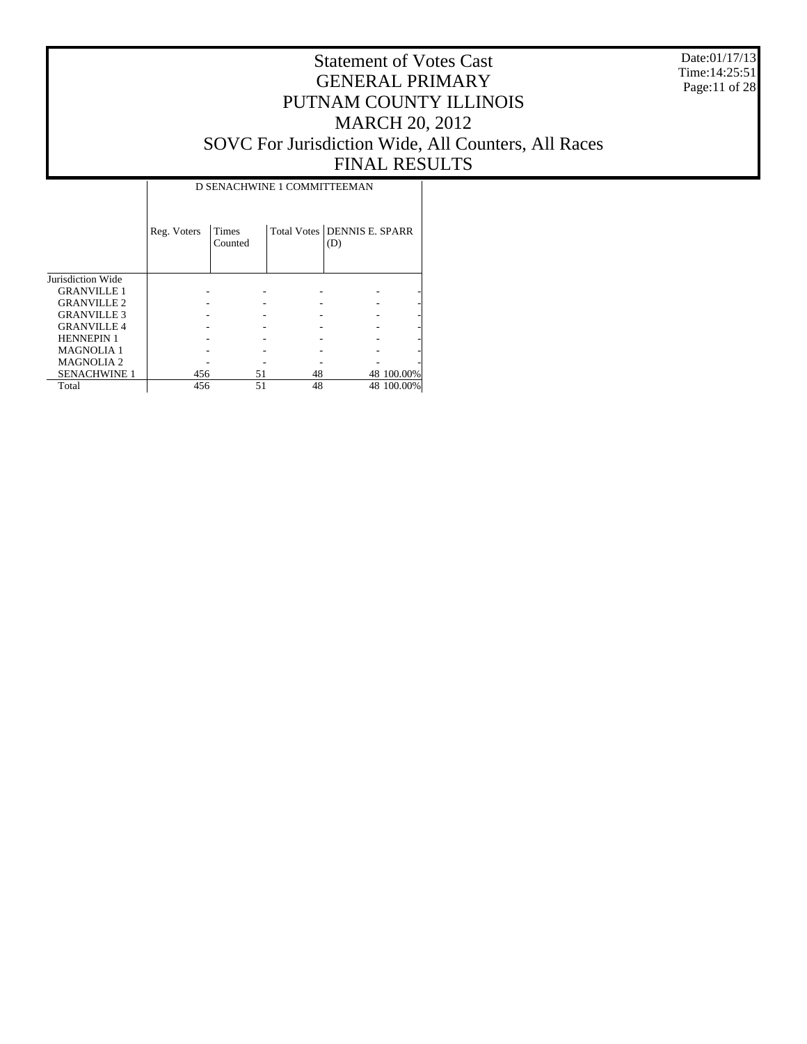Date:01/17/13 Time:14:25:51 Page:11 of 28

|                       |             |                  | D SENACHWINE 1 COMMITTEEMAN |                                    |            |
|-----------------------|-------------|------------------|-----------------------------|------------------------------------|------------|
|                       | Reg. Voters | Times<br>Counted |                             | Total Votes DENNIS E. SPARR<br>(D) |            |
| Jurisdiction Wide     |             |                  |                             |                                    |            |
| <b>GRANVILLE 1</b>    |             |                  |                             |                                    |            |
| <b>GRANVILLE 2</b>    |             |                  |                             |                                    |            |
| <b>GRANVILLE 3</b>    |             |                  |                             |                                    |            |
| <b>GRANVILLE4</b>     |             |                  |                             |                                    |            |
| <b>HENNEPIN 1</b>     |             |                  |                             |                                    |            |
| <b>MAGNOLIA1</b>      |             |                  |                             |                                    |            |
| MAGNOLIA <sub>2</sub> |             |                  |                             |                                    |            |
| <b>SENACHWINE 1</b>   | 456         | 51               | 48                          |                                    | 48 100.00% |
| Total                 | 456         | 51               | 48                          |                                    | 48 100.00% |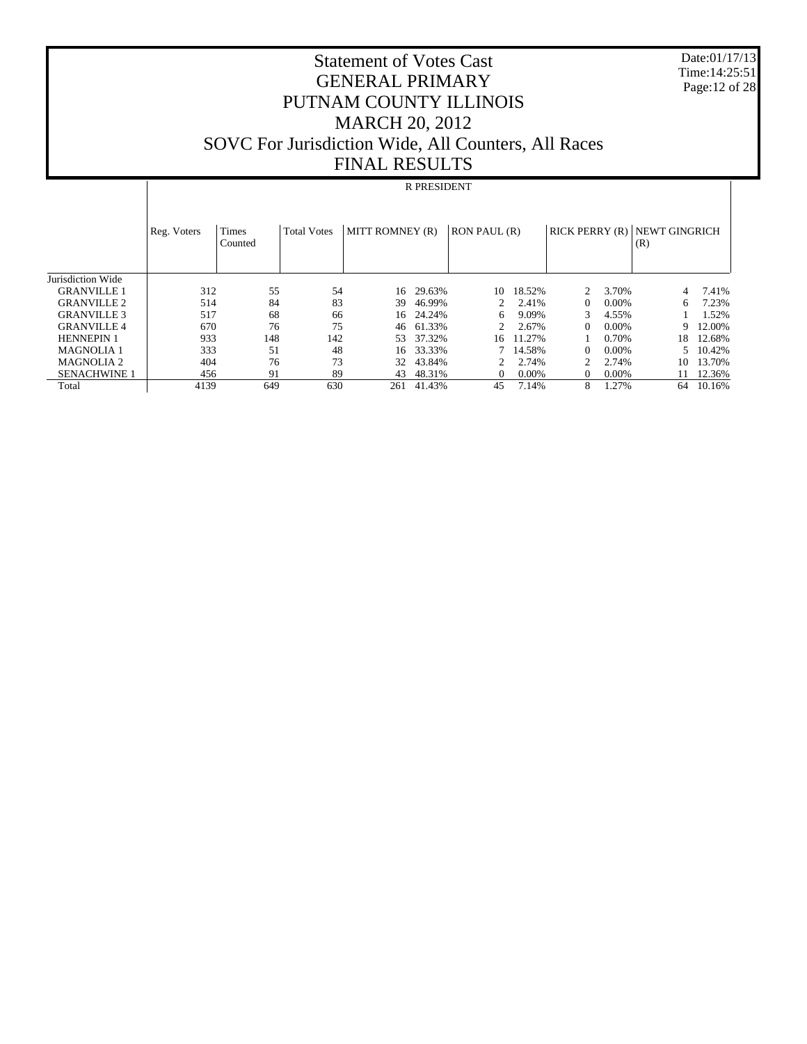Date:01/17/13 Time:14:25:51 Page:12 of 28

## Statement of Votes Cast GENERAL PRIMARY PUTNAM COUNTY ILLINOIS MARCH 20, 2012 SOVC For Jurisdiction Wide, All Counters, All Races FINAL RESULTS

#### R PRESIDENT

|                     | Reg. Voters | Times<br>Counted | <b>Total Votes</b> | MITT ROMNEY (R) |           | RON PAUL (R)  |          | RICK PERRY(R) |       | NEWT GINGRICH<br>(R) |        |
|---------------------|-------------|------------------|--------------------|-----------------|-----------|---------------|----------|---------------|-------|----------------------|--------|
| Jurisdiction Wide   |             |                  |                    |                 |           |               |          |               |       |                      |        |
| <b>GRANVILLE 1</b>  | 312         | 55               | 54                 | 16              | 29.63%    | 10            | 18.52%   |               | 3.70% |                      | 7.41%  |
| <b>GRANVILLE 2</b>  | 514         | 84               | 83                 | 39              | 46.99%    | $\mathcal{D}$ | 2.41%    | 0             | 0.00% | 6                    | 7.23%  |
| <b>GRANVILLE 3</b>  | 517         | 68               | 66                 |                 | 16 24.24% | 6             | 9.09%    | 3             | 4.55% |                      | 1.52%  |
| <b>GRANVILLE4</b>   | 670         | 76               | 75                 | 46              | 61.33%    |               | 2.67%    | 0             | 0.00% | 9                    | 12.00% |
| <b>HENNEPIN 1</b>   | 933         | 148              | 142                | 53              | 37.32%    | 16            | 11.27%   |               | 0.70% | 18                   | 12.68% |
| <b>MAGNOLIA 1</b>   | 333         | 51               | 48                 | 16              | 33.33%    |               | 14.58%   | $\theta$      | 0.00% |                      | 10.42% |
| <b>MAGNOLIA 2</b>   | 404         | 76               | 73                 | 32              | 43.84%    |               | 2.74%    |               | 2.74% | 10                   | 13.70% |
| <b>SENACHWINE 1</b> | 456         | 91               | 89                 | 43              | 48.31%    |               | $0.00\%$ | $\theta$      | 0.00% | 11                   | 12.36% |
| Total               | 4139        | 649              | 630                | 261             | 41.43%    | 45            | 7.14%    | 8             | 1.27% | 64                   | 10.16% |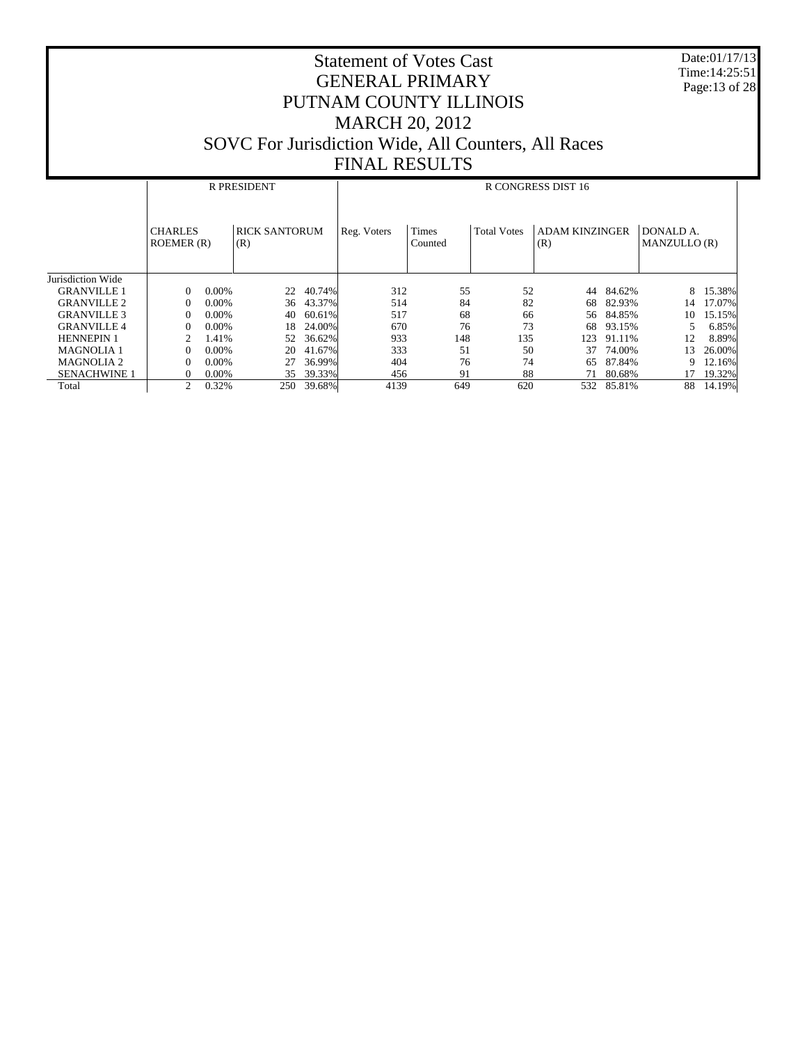Date:01/17/13 Time:14:25:51 Page:13 of 28

|                     |                             | R PRESIDENT |                             |        |             | R CONGRESS DIST 16      |                    |                              |        |                           |        |  |
|---------------------|-----------------------------|-------------|-----------------------------|--------|-------------|-------------------------|--------------------|------------------------------|--------|---------------------------|--------|--|
|                     | <b>CHARLES</b><br>ROEMER(R) |             | <b>RICK SANTORUM</b><br>(R) |        | Reg. Voters | <b>Times</b><br>Counted | <b>Total Votes</b> | <b>ADAM KINZINGER</b><br>(R) |        | DONALD A.<br>MANZULLO (R) |        |  |
| Jurisdiction Wide   |                             |             |                             |        |             |                         |                    |                              |        |                           |        |  |
| <b>GRANVILLE 1</b>  | $\Omega$                    | $0.00\%$    | 22                          | 40.74% | 312         | 55                      | 52                 | 44                           | 84.62% | 8                         | 15.38% |  |
| <b>GRANVILLE 2</b>  | $\Omega$                    | $0.00\%$    | 36                          | 43.37% | 514         | 84                      | 82                 | 68                           | 82.93% | 14                        | 17.07% |  |
| <b>GRANVILLE 3</b>  | $\Omega$                    | $0.00\%$    | 40                          | 60.61% | 517         | 68                      | 66                 | 56                           | 84.85% | 10                        | 15.15% |  |
| <b>GRANVILLE 4</b>  | $\Omega$                    | 0.00%       | 18                          | 24.00% | 670         | 76                      | 73                 | 68                           | 93.15% |                           | 6.85%  |  |
| <b>HENNEPIN 1</b>   | 2                           | 1.41%       | 52                          | 36.62% | 933         | 148                     | 135                | 123                          | 91.11% | 12                        | 8.89%  |  |
| <b>MAGNOLIA 1</b>   | $\Omega$                    | 0.00%       | 20                          | 41.67% | 333         | 51                      | 50                 | 37                           | 74.00% | 13                        | 26.00% |  |
| <b>MAGNOLIA 2</b>   | $\Omega$                    | 0.00%       | 27                          | 36.99% | 404         | 76                      | 74                 | 65                           | 87.84% | 9                         | 12.16% |  |
| <b>SENACHWINE 1</b> | $\Omega$                    | $0.00\%$    | 35                          | 39.33% | 456         | 91                      | 88                 | 71                           | 80.68% | 17                        | 19.32% |  |
| Total               | $\overline{c}$              | 0.32%       | 250                         | 39.68% | 4139        | 649                     | 620                | 532                          | 85.81% | 88                        | 14.19% |  |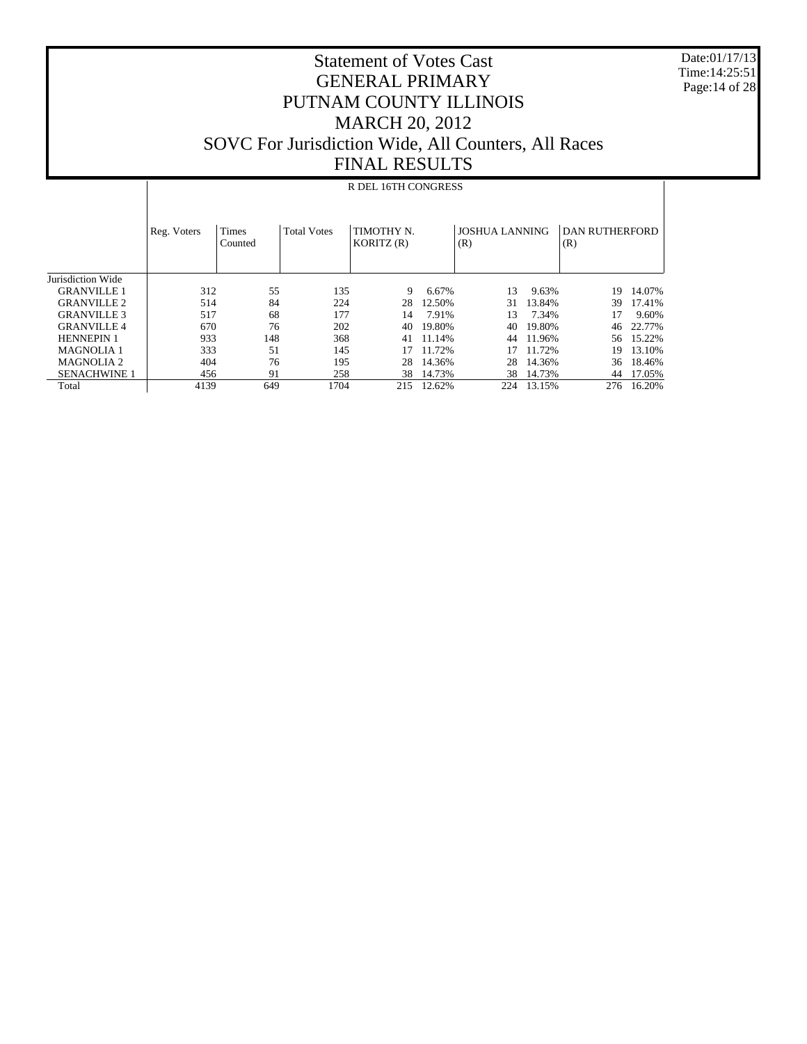Date:01/17/13 Time:14:25:51 Page:14 of 28

## Statement of Votes Cast GENERAL PRIMARY PUTNAM COUNTY ILLINOIS MARCH 20, 2012 SOVC For Jurisdiction Wide, All Counters, All Races FINAL RESULTS

#### R DEL 16TH CONGRESS

|                     | Reg. Voters | Times<br>Counted | <b>Total Votes</b> | TIMOTHY N.<br>KORITZ(R) |        | <b>JOSHUA LANNING</b><br>(R) |        | DAN RUTHERFORD<br>(R) |        |
|---------------------|-------------|------------------|--------------------|-------------------------|--------|------------------------------|--------|-----------------------|--------|
| Jurisdiction Wide   |             |                  |                    |                         |        |                              |        |                       |        |
| <b>GRANVILLE 1</b>  | 312         | 55               | 135                | 9                       | 6.67%  | 13                           | 9.63%  | 19                    | 14.07% |
| <b>GRANVILLE 2</b>  | 514         | 84               | 224                | 28                      | 12.50% | 31                           | 13.84% | 39                    | 17.41% |
| <b>GRANVILLE 3</b>  | 517         | 68               | 177                | 14                      | 7.91%  | 13                           | 7.34%  |                       | 9.60%  |
| <b>GRANVILLE 4</b>  | 670         | 76               | 202                | 40                      | 19.80% | 40                           | 19.80% | 46                    | 22.77% |
| <b>HENNEPIN 1</b>   | 933         | 148              | 368                | 41                      | 11.14% | 44                           | 11.96% | 56.                   | 15.22% |
| <b>MAGNOLIA 1</b>   | 333         | 51               | 145                | 17                      | 11.72% | 17                           | 11.72% | 19                    | 13.10% |
| <b>MAGNOLIA 2</b>   | 404         | 76               | 195                | 28                      | 14.36% | 28                           | 14.36% | 36                    | 18.46% |
| <b>SENACHWINE 1</b> | 456         | 91               | 258                | 38                      | 14.73% | 38                           | 14.73% | 44                    | 17.05% |
| Total               | 4139        | 649              | 1704               | 215                     | 12.62% | 224                          | 13.15% | 276                   | 16.20% |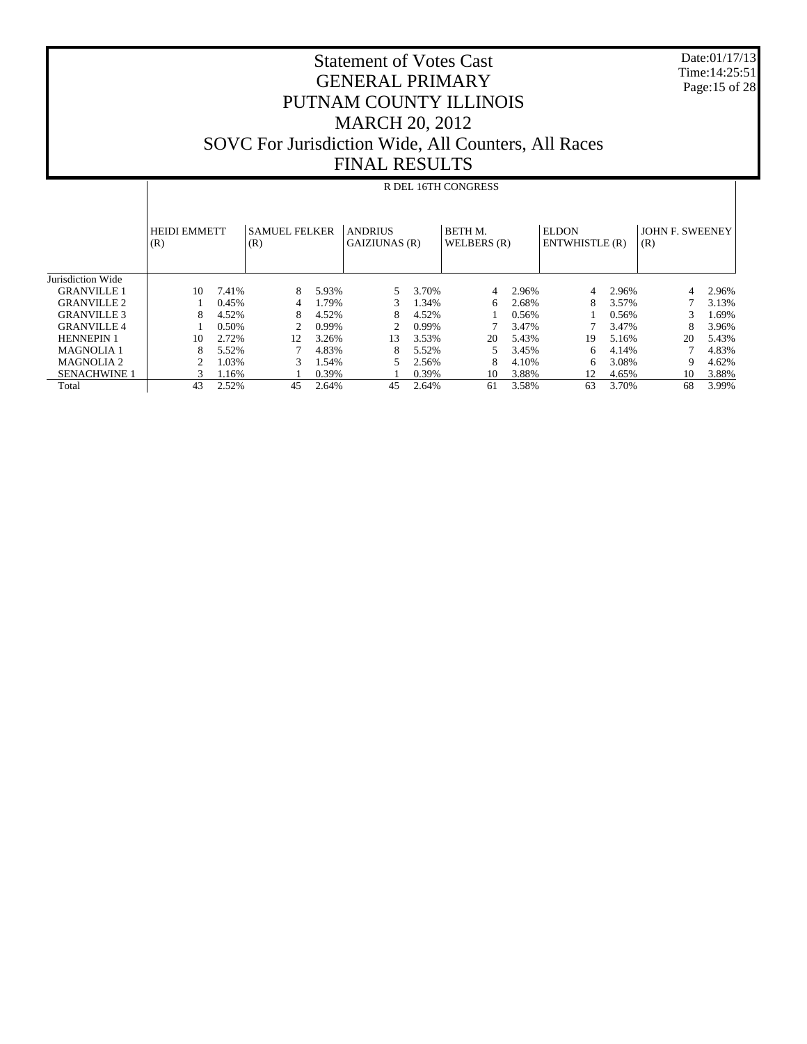Date:01/17/13 Time:14:25:51 Page:15 of 28

|                     |                            | R DEL 16TH CONGRESS |                             |       |                                 |       |                              |       |                                |       |                        |       |  |
|---------------------|----------------------------|---------------------|-----------------------------|-------|---------------------------------|-------|------------------------------|-------|--------------------------------|-------|------------------------|-------|--|
|                     | <b>HEIDI EMMETT</b><br>(R) |                     | <b>SAMUEL FELKER</b><br>(R) |       | <b>ANDRIUS</b><br>GAIZIUNAS (R) |       | <b>BETHM.</b><br>WELBERS (R) |       | <b>ELDON</b><br>ENTWHISTLE (R) |       | JOHN F. SWEENEY<br>(R) |       |  |
| Jurisdiction Wide   |                            |                     |                             |       |                                 |       |                              |       |                                |       |                        |       |  |
| <b>GRANVILLE 1</b>  | 10                         | 7.41%               | 8                           | 5.93% | 5.                              | 3.70% | 4                            | 2.96% | 4                              | 2.96% | 4                      | 2.96% |  |
| <b>GRANVILLE 2</b>  |                            | 0.45%               |                             | 1.79% | 3.                              | 1.34% | 6                            | 2.68% | 8                              | 3.57% |                        | 3.13% |  |
| <b>GRANVILLE 3</b>  | 8                          | 4.52%               | 8                           | 4.52% | 8                               | 4.52% |                              | 0.56% |                                | 0.56% | 3                      | 1.69% |  |
| <b>GRANVILLE4</b>   |                            | 0.50%               | 2                           | 0.99% | 2                               | 0.99% |                              | 3.47% |                                | 3.47% |                        | 3.96% |  |
| <b>HENNEPIN 1</b>   | 10                         | 2.72%               | 12                          | 3.26% | 13                              | 3.53% | 20                           | 5.43% | 19                             | 5.16% | 20                     | 5.43% |  |
| <b>MAGNOLIA1</b>    | 8                          | 5.52%               |                             | 4.83% | 8                               | 5.52% | 5                            | 3.45% | 6                              | 4.14% |                        | 4.83% |  |
| <b>MAGNOLIA 2</b>   | $\overline{c}$             | .03%                | 3                           | 1.54% |                                 | 2.56% | 8                            | 4.10% | 6                              | 3.08% | 9                      | 4.62% |  |
| <b>SENACHWINE 1</b> | 3                          | .16%                |                             | 0.39% |                                 | 0.39% | 10                           | 3.88% | 12                             | 4.65% | 10                     | 3.88% |  |
| Total               | 43                         | 2.52%               | 45                          | 2.64% | 45                              | 2.64% | 61                           | 3.58% | 63                             | 3.70% | 68                     | 3.99% |  |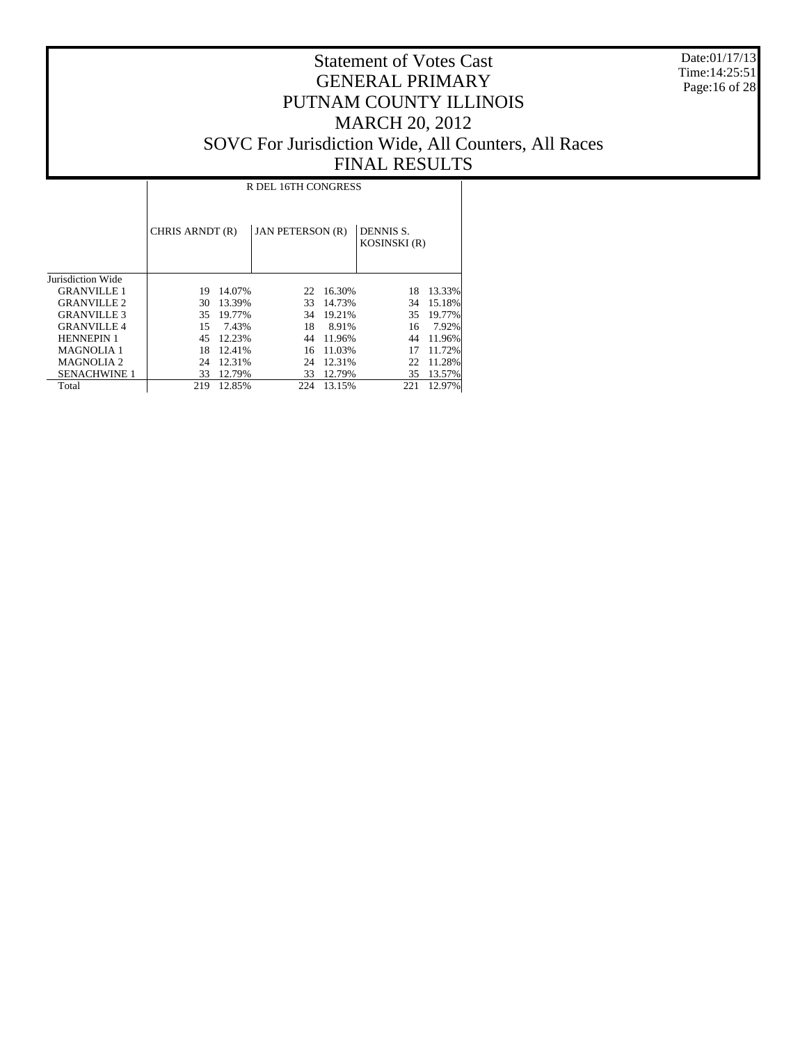Date:01/17/13 Time:14:25:51 Page:16 of 28

|                       |                 | R DEL 16TH CONGRESS |                         |        |                                  |        |  |  |  |  |  |  |  |
|-----------------------|-----------------|---------------------|-------------------------|--------|----------------------------------|--------|--|--|--|--|--|--|--|
|                       | CHRIS ARNDT (R) |                     | <b>JAN PETERSON (R)</b> |        | DENNIS S.<br><b>KOSINSKI</b> (R) |        |  |  |  |  |  |  |  |
| Jurisdiction Wide     |                 |                     |                         |        |                                  |        |  |  |  |  |  |  |  |
| <b>GRANVILLE 1</b>    | 19              | 14.07%              | 22                      | 16.30% | 18                               | 13.33% |  |  |  |  |  |  |  |
| <b>GRANVILLE 2</b>    | 30              | 13.39%              | 33                      | 14.73% | 34                               | 15.18% |  |  |  |  |  |  |  |
| <b>GRANVILLE 3</b>    | 35              | 19.77%              | 34                      | 19.21% | 35                               | 19.77% |  |  |  |  |  |  |  |
| <b>GRANVILLE 4</b>    | 15              | 7.43%               | 18                      | 8.91%  | 16                               | 7.92%  |  |  |  |  |  |  |  |
| <b>HENNEPIN 1</b>     | 45              | 12.23%              | 44                      | 11.96% | 44                               | 11.96% |  |  |  |  |  |  |  |
| <b>MAGNOLIA 1</b>     | 18              | 12.41%              | 16                      | 11.03% | 17                               | 11.72% |  |  |  |  |  |  |  |
| MAGNOLIA <sub>2</sub> | 24              | 12.31%              | 24                      | 12.31% | 22                               | 11.28% |  |  |  |  |  |  |  |
| <b>SENACHWINE 1</b>   | 33              | 12.79%              | 33                      | 12.79% | 35                               | 13.57% |  |  |  |  |  |  |  |
| Total                 | 219             | 12.85%              | 224                     | 13.15% | 221                              | 12.97% |  |  |  |  |  |  |  |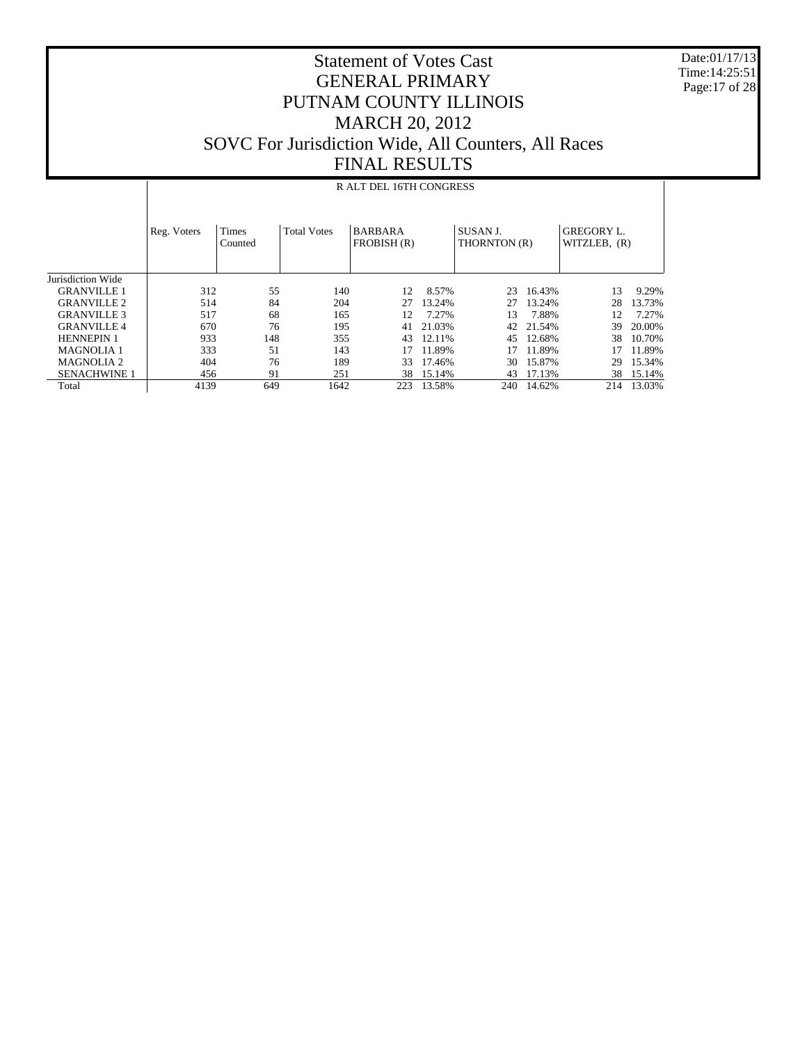Date:01/17/13 Time:14:25:51 Page:17 of 28

#### Statement of Votes Cast GENERAL PRIMARY PUTNAM COUNTY ILLINOIS MARCH 20, 2012 SOVC For Jurisdiction Wide, All Counters, All Races FINAL RESULTS

#### Jurisdiction Wide GRANVILLE 1 GRANVILLE 2 GRANVILLE 3 GRANVILLE 4 HENNEPIN 1 MAGNOLIA 1 MAGNOLIA 2 SENACHWINE 1 Total Reg. Voters | Times Counted Total Votes | BARBARA FROBISH (R) SUSAN J. THORNTON (R) GREGORY L. WITZLEB, (R) R ALT DEL 16TH CONGRESS 312 55 140 12 8.57% 23 16.43% 13 9.29% 514 84 204 27 13.24% 27 13.24%<br>517 68 165 12 7.27% 13 7.88% 517 68 165 12 7.27% 13 7.88% 12 7.27% 670 76 195 41 21.03% 42 21.54% 39 20.00% 933 148 355 43 12.11% 45 12.68% 38 10.70% 333 51 143 17 11.89% 17 11.89% 17 11.89% 404 76 189 33 17.46% 30 15.87%<br>456 91 251 38 15.14% 43 17.13% 416 91 251 38 15.14% 43 17.13% 38 15.14%<br>4139 649 1642 223 13.58% 240 14.62% 214 13.03% 223 13.58%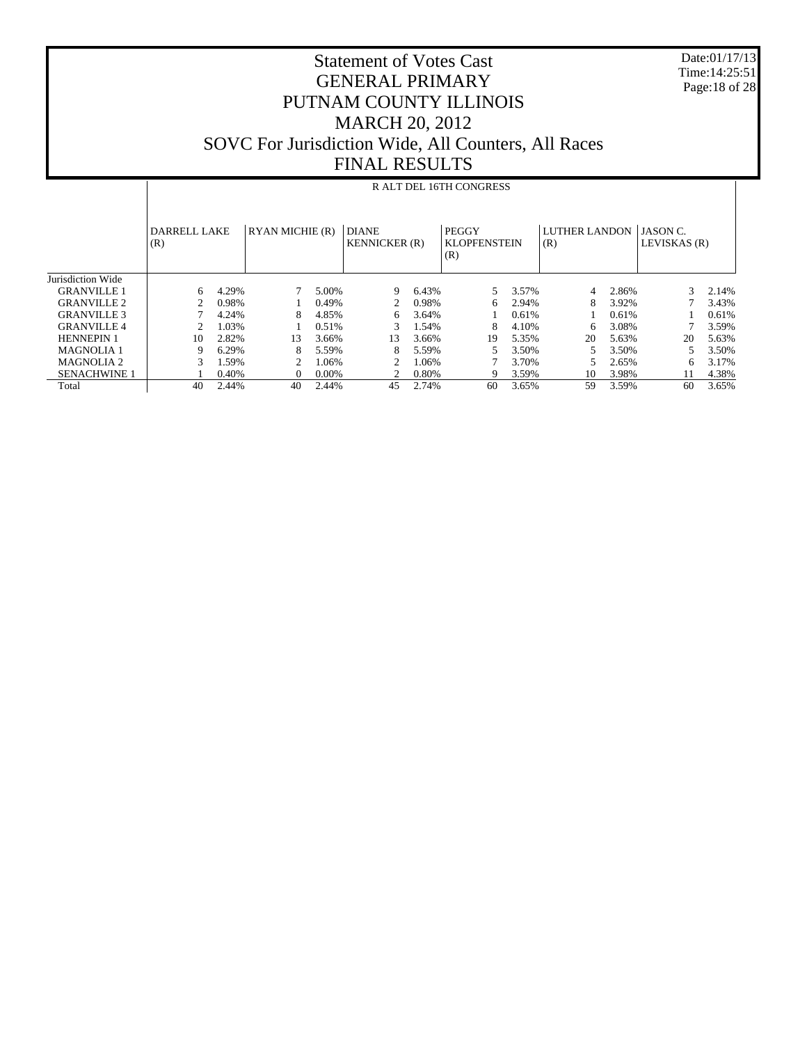Date:01/17/13 Time:14:25:51 Page:18 of 28

|                     |                            | R ALT DEL 16TH CONGRESS |                 |          |                                      |       |                                     |       |                             |       |                                 |       |  |
|---------------------|----------------------------|-------------------------|-----------------|----------|--------------------------------------|-------|-------------------------------------|-------|-----------------------------|-------|---------------------------------|-------|--|
|                     | <b>DARRELL LAKE</b><br>(R) |                         | RYAN MICHIE (R) |          | <b>DIANE</b><br><b>KENNICKER</b> (R) |       | PEGGY<br><b>KLOPFENSTEIN</b><br>(R) |       | <b>LUTHER LANDON</b><br>(R) |       | <b>JASON C.</b><br>LEVISKAS (R) |       |  |
| Jurisdiction Wide   |                            |                         |                 |          |                                      |       |                                     |       |                             |       |                                 |       |  |
| <b>GRANVILLE 1</b>  | 6                          | 4.29%                   |                 | 5.00%    | 9                                    | 6.43% | 5.                                  | 3.57% | 4                           | 2.86% | 3                               | 2.14% |  |
| <b>GRANVILLE 2</b>  | 2                          | 0.98%                   |                 | 0.49%    | 2                                    | 0.98% | 6                                   | 2.94% | 8                           | 3.92% |                                 | 3.43% |  |
| <b>GRANVILLE 3</b>  |                            | 4.24%                   | 8               | 4.85%    | 6                                    | 3.64% |                                     | 0.61% |                             | 0.61% |                                 | 0.61% |  |
| <b>GRANVILLE4</b>   | 2                          | 1.03%                   |                 | 0.51%    | 3                                    | 1.54% | 8                                   | 4.10% | 6                           | 3.08% |                                 | 3.59% |  |
| <b>HENNEPIN 1</b>   | 10                         | 2.82%                   | 13              | 3.66%    | 13                                   | 3.66% | 19                                  | 5.35% | 20                          | 5.63% | 20                              | 5.63% |  |
| <b>MAGNOLIA1</b>    | 9                          | 6.29%                   | 8               | 5.59%    | 8                                    | 5.59% |                                     | 3.50% | 5                           | 3.50% | 5                               | 3.50% |  |
| MAGNOLIA 2          | 3                          | 1.59%                   | 2               | 1.06%    | $\mathcal{D}_{\mathcal{L}}$          | 1.06% |                                     | 3.70% |                             | 2.65% | 6                               | 3.17% |  |
| <b>SENACHWINE 1</b> |                            | 0.40%                   | $\Omega$        | $0.00\%$ | ◠                                    | 0.80% | 9                                   | 3.59% | 10                          | 3.98% | 11                              | 4.38% |  |
| Total               | 40                         | 2.44%                   | 40              | 2.44%    | 45                                   | 2.74% | 60                                  | 3.65% | 59                          | 3.59% | 60                              | 3.65% |  |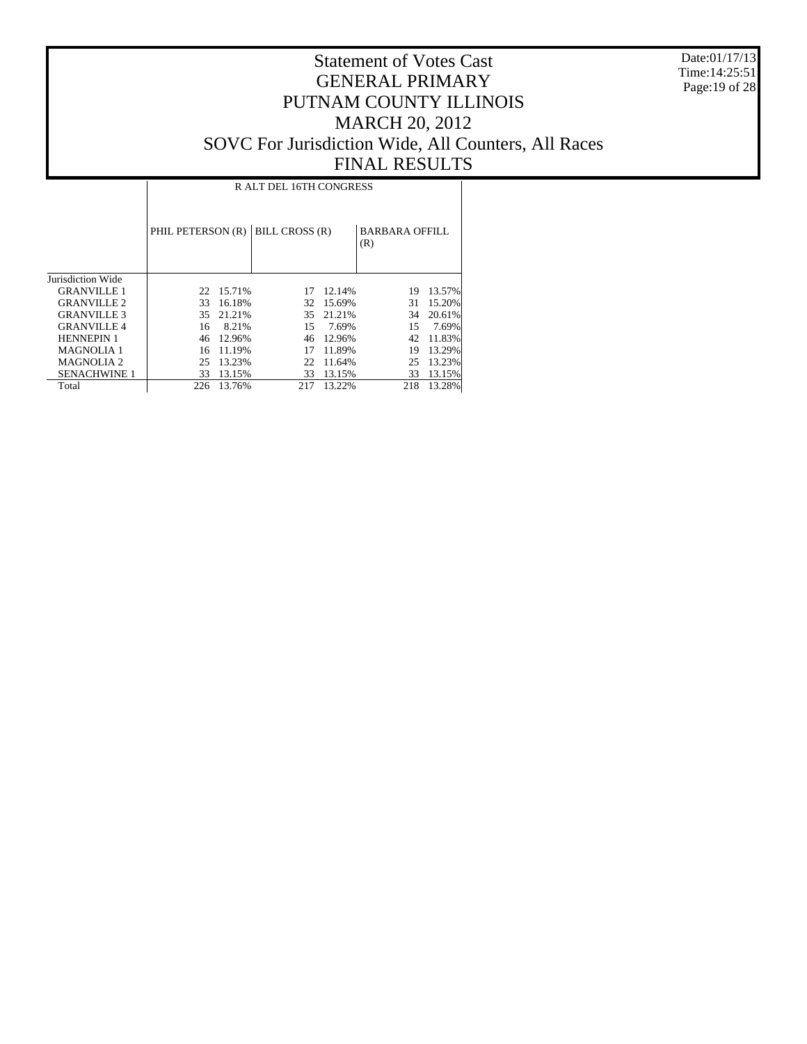Date:01/17/13 Time:14:25:51 Page:19 of 28

|                       |                   | R ALT DEL 16TH CONGRESS |                |        |                              |        |  |  |  |  |  |  |  |
|-----------------------|-------------------|-------------------------|----------------|--------|------------------------------|--------|--|--|--|--|--|--|--|
|                       | PHIL PETERSON (R) |                         | BILL CROSS (R) |        | <b>BARBARA OFFILL</b><br>(R) |        |  |  |  |  |  |  |  |
| Jurisdiction Wide     |                   |                         |                |        |                              |        |  |  |  |  |  |  |  |
| <b>GRANVILLE 1</b>    | 22                | 15.71%                  | 17             | 12.14% | 19                           | 13.57% |  |  |  |  |  |  |  |
| <b>GRANVILLE 2</b>    | 33                | 16.18%                  | 32             | 15.69% | 31                           | 15.20% |  |  |  |  |  |  |  |
| <b>GRANVILLE 3</b>    | 35                | 21.21%                  | 35             | 21.21% | 34                           | 20.61% |  |  |  |  |  |  |  |
| <b>GRANVILLE4</b>     | 16                | 8.21%                   | 15             | 7.69%  | 15                           | 7.69%  |  |  |  |  |  |  |  |
| <b>HENNEPIN 1</b>     | 46                | 12.96%                  | 46             | 12.96% | 42                           | 11.83% |  |  |  |  |  |  |  |
| <b>MAGNOLIA 1</b>     | 16                | 11.19%                  | 17             | 11.89% | 19                           | 13.29% |  |  |  |  |  |  |  |
| MAGNOLIA <sub>2</sub> | 25                | 13.23%                  | 22             | 11.64% | 25                           | 13.23% |  |  |  |  |  |  |  |
| <b>SENACHWINE 1</b>   | 33                | 13.15%                  | 33             | 13.15% | 33                           | 13.15% |  |  |  |  |  |  |  |
| Total                 | 226               | 13.76%                  | 217            | 13.22% | 218                          | 13.28% |  |  |  |  |  |  |  |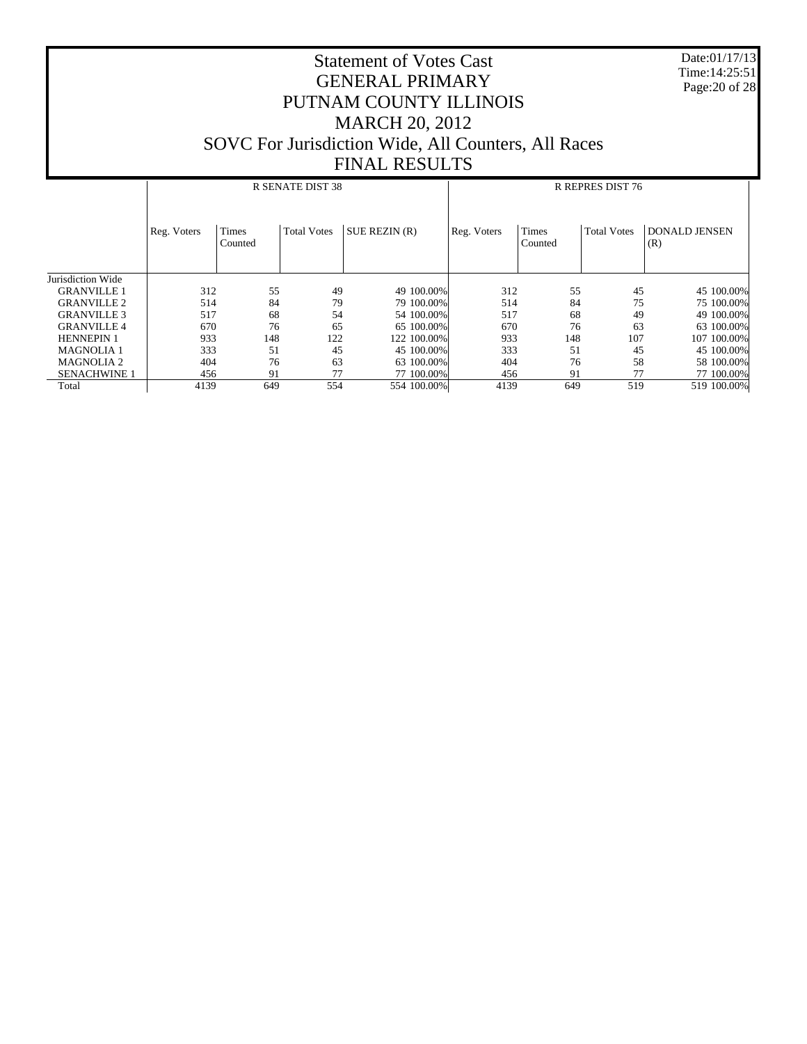Date:01/17/13 Time:14:25:51 Page:20 of 28

|                     |             |                         | <b>R SENATE DIST 38</b> |               |             |                  | R REPRES DIST 76   |                             |
|---------------------|-------------|-------------------------|-------------------------|---------------|-------------|------------------|--------------------|-----------------------------|
|                     | Reg. Voters | <b>Times</b><br>Counted | <b>Total Votes</b>      | SUE REZIN (R) | Reg. Voters | Times<br>Counted | <b>Total Votes</b> | <b>DONALD JENSEN</b><br>(R) |
| Jurisdiction Wide   |             |                         |                         |               |             |                  |                    |                             |
| <b>GRANVILLE 1</b>  | 312         | 55                      | 49                      | 49 100,00%    | 312         | 55               | 45                 | 45 100.00%                  |
| <b>GRANVILLE 2</b>  | 514         | 84                      | 79                      | 79 100,00%    | 514         | 84               | 75                 | 75 100.00%                  |
| <b>GRANVILLE 3</b>  | 517         | 68                      | 54                      | 54 100,00%    | 517         | 68               | 49                 | 49 100.00%                  |
| <b>GRANVILLE 4</b>  | 670         | 76                      | 65                      | 65 100,00%    | 670         | 76               | 63                 | 63 100,00%                  |
| <b>HENNEPIN 1</b>   | 933         | 148                     | 122                     | 122 100.00%   | 933         | 148              | 107                | 107 100,00%                 |
| <b>MAGNOLIA1</b>    | 333         | 51                      | 45                      | 45 100,00%    | 333         | 51               | 45                 | 45 100,00%                  |
| <b>MAGNOLIA 2</b>   | 404         | 76                      | 63                      | 63 100,00%    | 404         | 76               | 58                 | 58 100,00%                  |
| <b>SENACHWINE 1</b> | 456         | 91                      | 77                      | 77 100,00%    | 456         | 91               | 77                 | 77 100.00%                  |
| Total               | 4139        | 649                     | 554                     | 554 100.00%   | 4139        | 649              | 519                | 519 100.00%                 |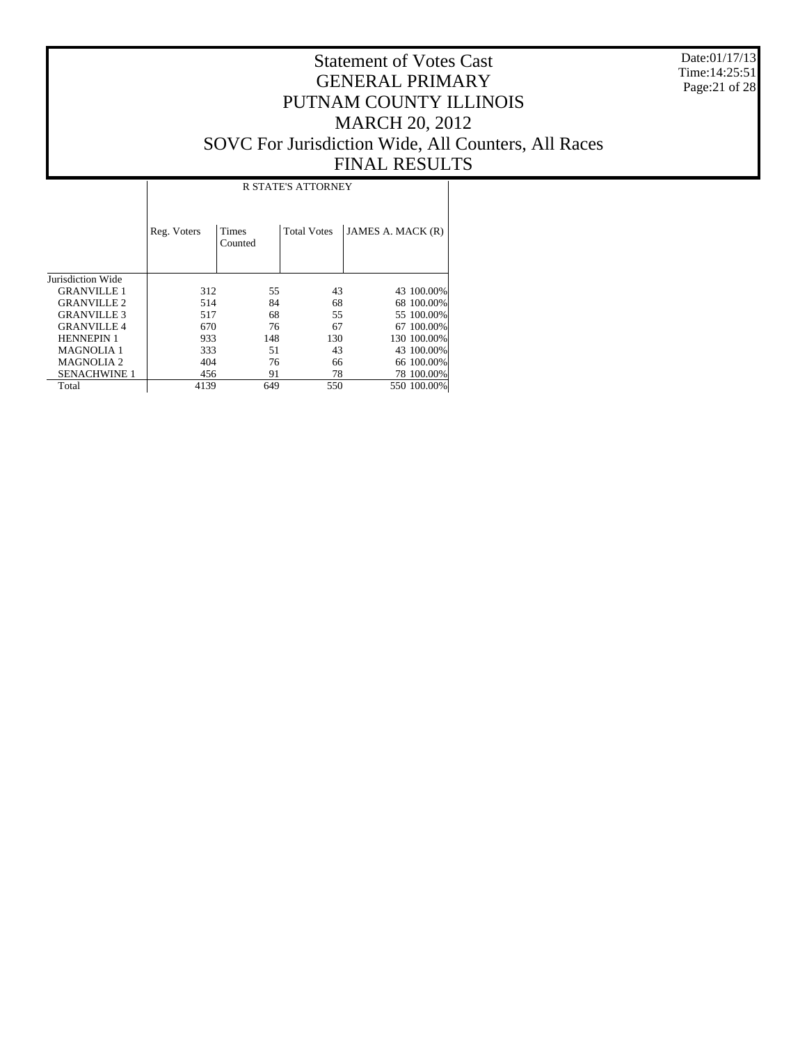Date:01/17/13 Time:14:25:51 Page:21 of 28

#### Statement of Votes Cast GENERAL PRIMARY PUTNAM COUNTY ILLINOIS MARCH 20, 2012 SOVC For Jurisdiction Wide, All Counters, All Races FINAL RESULTS

T

|                     | <b>R STATE'S ATTORNEY</b> |                         |                    |                   |  |  |  |  |  |  |  |
|---------------------|---------------------------|-------------------------|--------------------|-------------------|--|--|--|--|--|--|--|
|                     | Reg. Voters               | <b>Times</b><br>Counted | <b>Total Votes</b> | JAMES A. MACK (R) |  |  |  |  |  |  |  |
| Jurisdiction Wide   |                           |                         |                    |                   |  |  |  |  |  |  |  |
| <b>GRANVILLE 1</b>  | 312                       | 55                      | 43                 | 43 100,00%        |  |  |  |  |  |  |  |
| <b>GRANVILLE 2</b>  | 514                       | 84                      | 68                 | 68 100.00%        |  |  |  |  |  |  |  |
| <b>GRANVILLE 3</b>  | 517                       | 68                      | 55                 | 55 100,00%        |  |  |  |  |  |  |  |
| <b>GRANVILLE 4</b>  | 670                       | 76                      | 67                 | 67 100.00%        |  |  |  |  |  |  |  |
| <b>HENNEPIN 1</b>   | 933                       | 148                     | 130                | 130 100.00%       |  |  |  |  |  |  |  |
| <b>MAGNOLIA1</b>    | 333                       | 51                      | 43                 | 43 100.00%        |  |  |  |  |  |  |  |
| <b>MAGNOLIA2</b>    | 404                       | 76                      | 66                 | 66 100.00%        |  |  |  |  |  |  |  |
| <b>SENACHWINE 1</b> | 456                       | 91                      | 78                 | 78 100.00%        |  |  |  |  |  |  |  |
| Total               | 4139                      | 649                     | 550                | 550 100,00%       |  |  |  |  |  |  |  |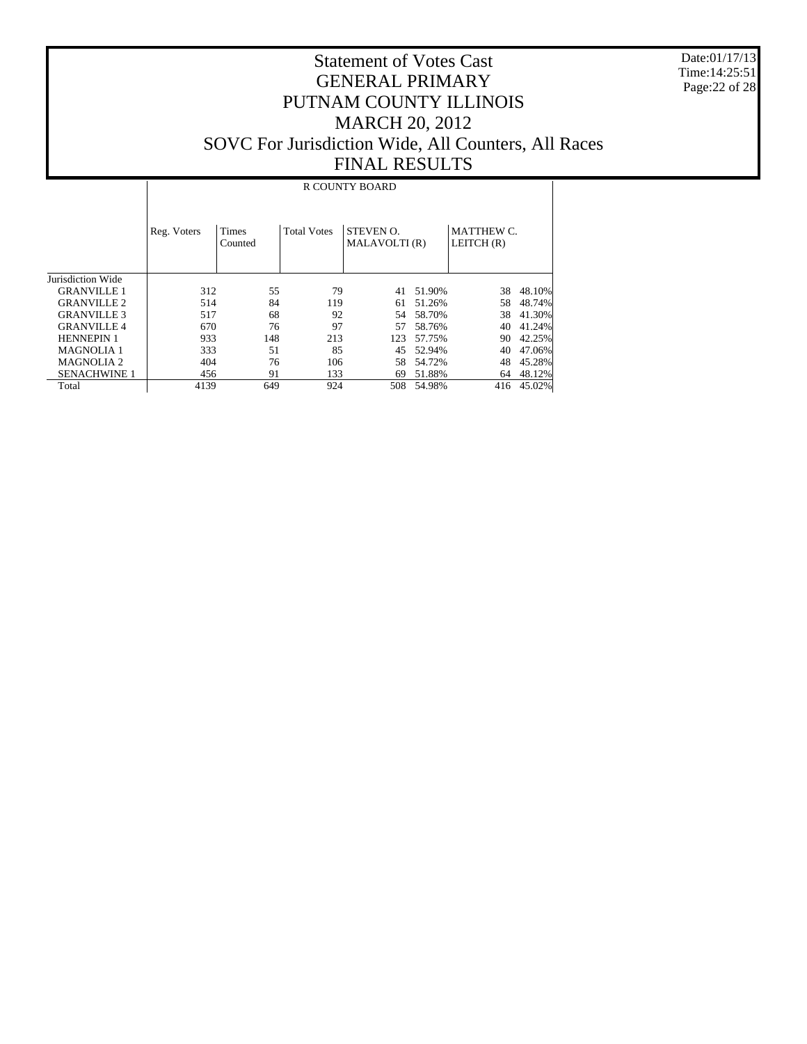Date:01/17/13 Time:14:25:51 Page:22 of 28

#### Statement of Votes Cast GENERAL PRIMARY PUTNAM COUNTY ILLINOIS MARCH 20, 2012 SOVC For Jurisdiction Wide, All Counters, All Races FINAL RESULTS

#### Jurisdiction Wide GRANVILLE 1 GRANVILLE 2 GRANVILLE 3 GRANVILLE 4 HENNEPIN 1 MAGNOLIA 1 MAGNOLIA 2 SENACHWINE 1 Total Reg. Voters | Times Counted Total Votes | STEVEN O. MALAVOLTI (R) MATTHEW C. LEITCH (R) R COUNTY BOARD 312 55 79 41 51.90% 38 48.10% 514 84 119 61 51.26% 58 48.74% 517 68 92 54 58.70% 38 41.30% 670 76 97 57 58.76% 40 41.24% 123 57.75% 90 42.25%<br>45 52.94% 40 47.06% 333 51 85 45 52.94% 40 47.06%<br>404 76 106 58 54.72% 48 45.28% 404 76 106 58 54.72% 48 45.28%<br>456 91 133 69 51.88% 64 48.12% 456 91 133 69 51.88% 64 48.12%<br>4139 649 924 508 54.98% 416 45.02% 508 54.98%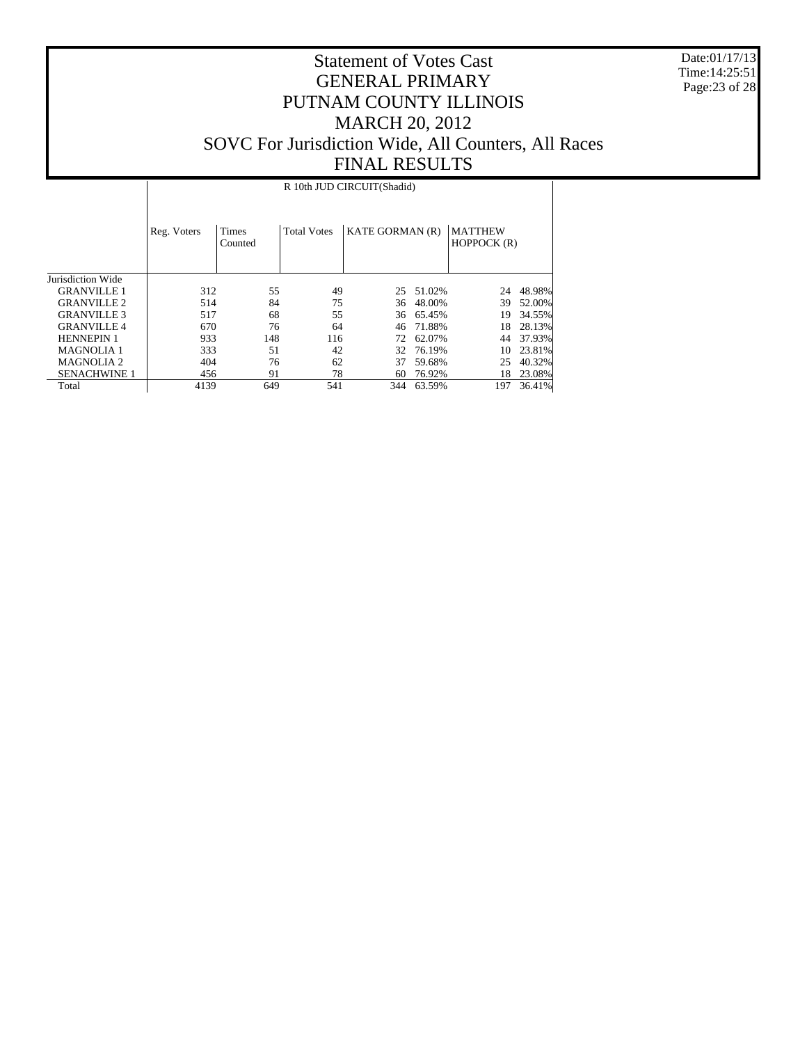Date:01/17/13 Time:14:25:51 Page:23 of 28

#### Statement of Votes Cast GENERAL PRIMARY PUTNAM COUNTY ILLINOIS MARCH 20, 2012 SOVC For Jurisdiction Wide, All Counters, All Races FINAL RESULTS

Jurisdiction Wide GRANVILLE 1 GRANVILLE 2 GRANVILLE 3 GRANVILLE 4 HENNEPIN 1 MAGNOLIA 1 MAGNOLIA 2 SENACHWINE 1 Total Reg. Voters | Times Counted Total Votes | KATE GORMAN (R) | MATTHEW HOPPOCK (R) R 10th JUD CIRCUIT(Shadid) 312 55 49 25 51.02% 24 48.98% 514 84 75 36 48.00% 317 68 55 36 65.45% 517 68 55 36 65.45% 19 34.55% 670 76 64 46 71.88% 18 28.13% 72 62.07% 44 37.93%<br>32 76.19% 10 23.81% 333 51 42 32 76.19%<br>404 76 62 37 59.68% 404 76 62 37 59.68% 25 40.32% 4139 649 78 60 76.92% 18 23.08% 4139 649 541 344 63.59% 197 36.41% 344 63.59%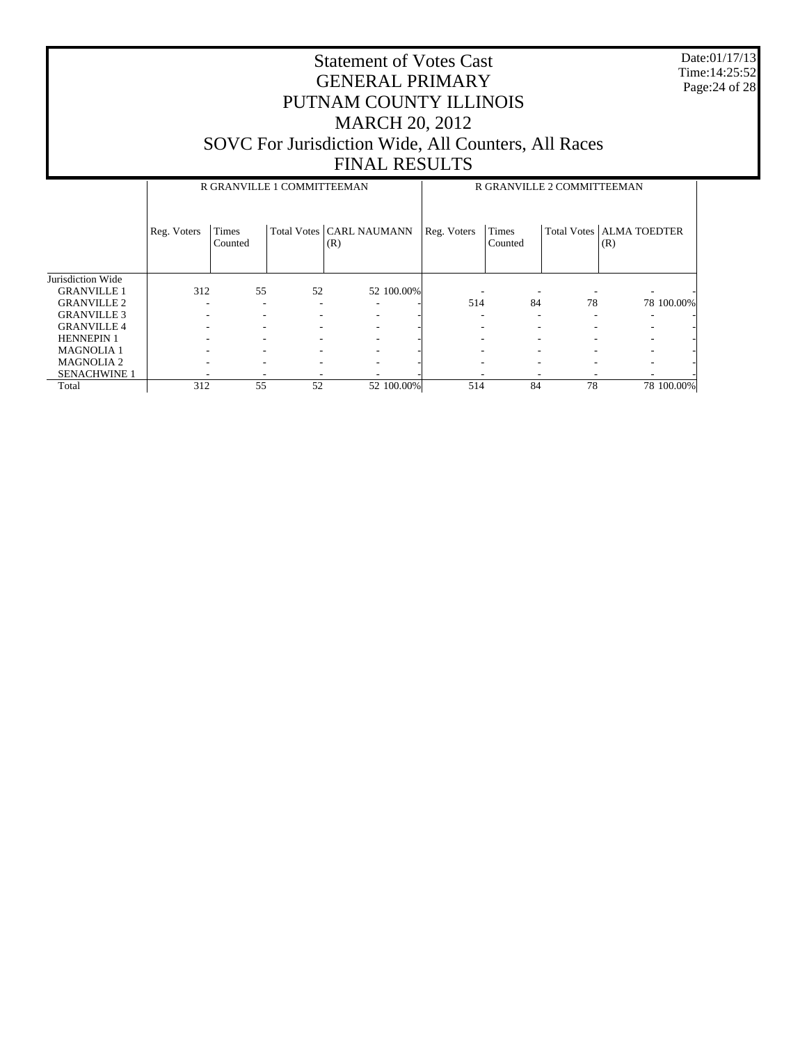Date:01/17/13 Time:14:25:52 Page:24 of 28

|                     |             | R GRANVILLE 1 COMMITTEEMAN |    |                                   |             | R GRANVILLE 2 COMMITTEEMAN |    |                                   |  |
|---------------------|-------------|----------------------------|----|-----------------------------------|-------------|----------------------------|----|-----------------------------------|--|
|                     | Reg. Voters | <b>Times</b><br>Counted    |    | Total Votes   CARL NAUMANN<br>(R) | Reg. Voters | Times<br>Counted           |    | Total Votes   ALMA TOEDTER<br>(R) |  |
| Jurisdiction Wide   |             |                            |    |                                   |             |                            |    |                                   |  |
| <b>GRANVILLE 1</b>  | 312         | 55                         | 52 | 52 100.00%                        |             |                            |    |                                   |  |
| <b>GRANVILLE 2</b>  |             |                            |    |                                   | 514         | 84                         | 78 | 78 100.00%                        |  |
| <b>GRANVILLE 3</b>  |             |                            |    |                                   |             |                            | ۰  |                                   |  |
| <b>GRANVILLE 4</b>  |             |                            |    |                                   |             |                            |    |                                   |  |
| <b>HENNEPIN 1</b>   |             |                            |    |                                   |             |                            |    |                                   |  |
| <b>MAGNOLIA1</b>    |             |                            |    |                                   |             |                            |    |                                   |  |
| <b>MAGNOLIA2</b>    |             |                            |    |                                   |             |                            |    |                                   |  |
| <b>SENACHWINE 1</b> |             |                            |    |                                   |             |                            |    |                                   |  |
| Total               | 312         | 55                         | 52 | 52 100.00%                        | 514         | 84                         | 78 | 78 100,00%                        |  |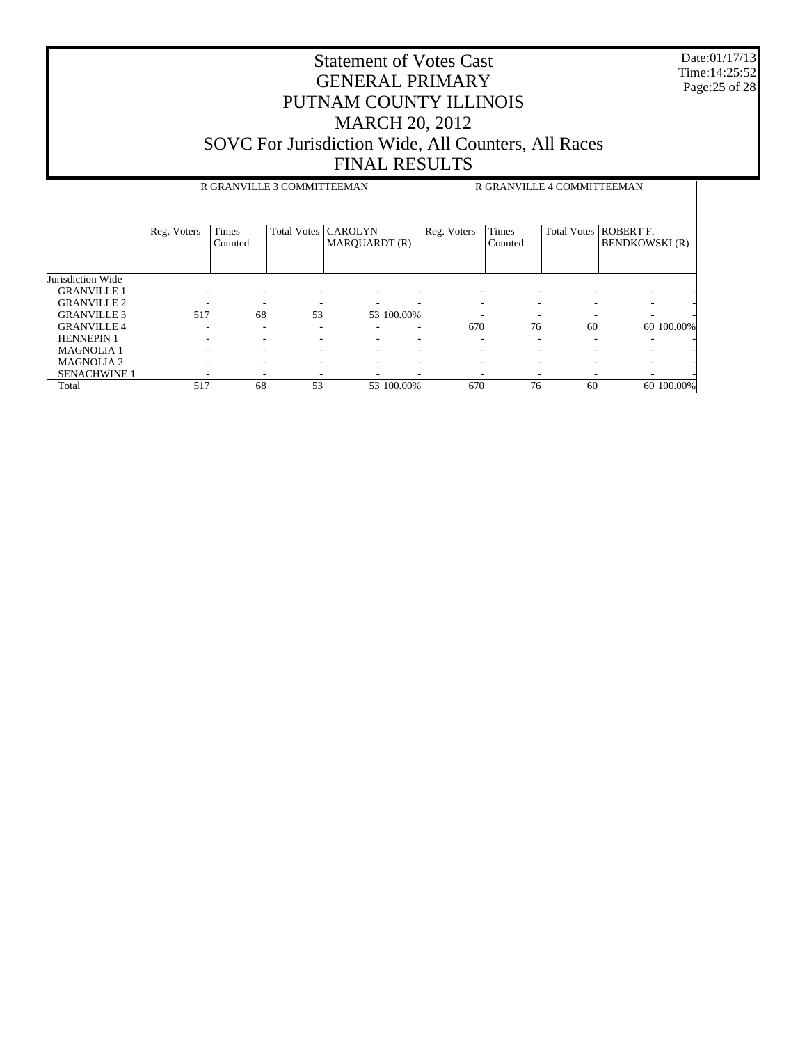Date:01/17/13 Time:14:25:52 Page:25 of 28

|                     |             | R GRANVILLE 3 COMMITTEEMAN |                       |               |             | R GRANVILLE 4 COMMITTEEMAN |    |                                                  |
|---------------------|-------------|----------------------------|-----------------------|---------------|-------------|----------------------------|----|--------------------------------------------------|
|                     | Reg. Voters | Times<br>Counted           | Total Votes   CAROLYN | MAROUARDT (R) | Reg. Voters | <b>Times</b><br>Counted    |    | Total Votes   ROBERT F.<br><b>BENDKOWSKI</b> (R) |
| Jurisdiction Wide   |             |                            |                       |               |             |                            |    |                                                  |
| <b>GRANVILLE 1</b>  |             |                            |                       |               |             |                            |    |                                                  |
| <b>GRANVILLE 2</b>  |             |                            |                       |               |             |                            |    |                                                  |
| <b>GRANVILLE 3</b>  | 517         | 68                         | 53                    | 53 100.00%    |             |                            |    |                                                  |
| <b>GRANVILLE 4</b>  |             |                            |                       |               | 670         | 76                         | 60 | 60 100.00%                                       |
| <b>HENNEPIN 1</b>   |             |                            |                       |               |             |                            |    |                                                  |
| <b>MAGNOLIA1</b>    |             |                            |                       |               |             |                            |    |                                                  |
| <b>MAGNOLIA 2</b>   |             |                            | ۰                     |               |             |                            |    |                                                  |
| <b>SENACHWINE 1</b> |             |                            |                       |               |             |                            |    |                                                  |
| Total               | 517         | 68                         | 53                    | 53 100.00%    | 670         | 76                         | 60 | 60 100,00%                                       |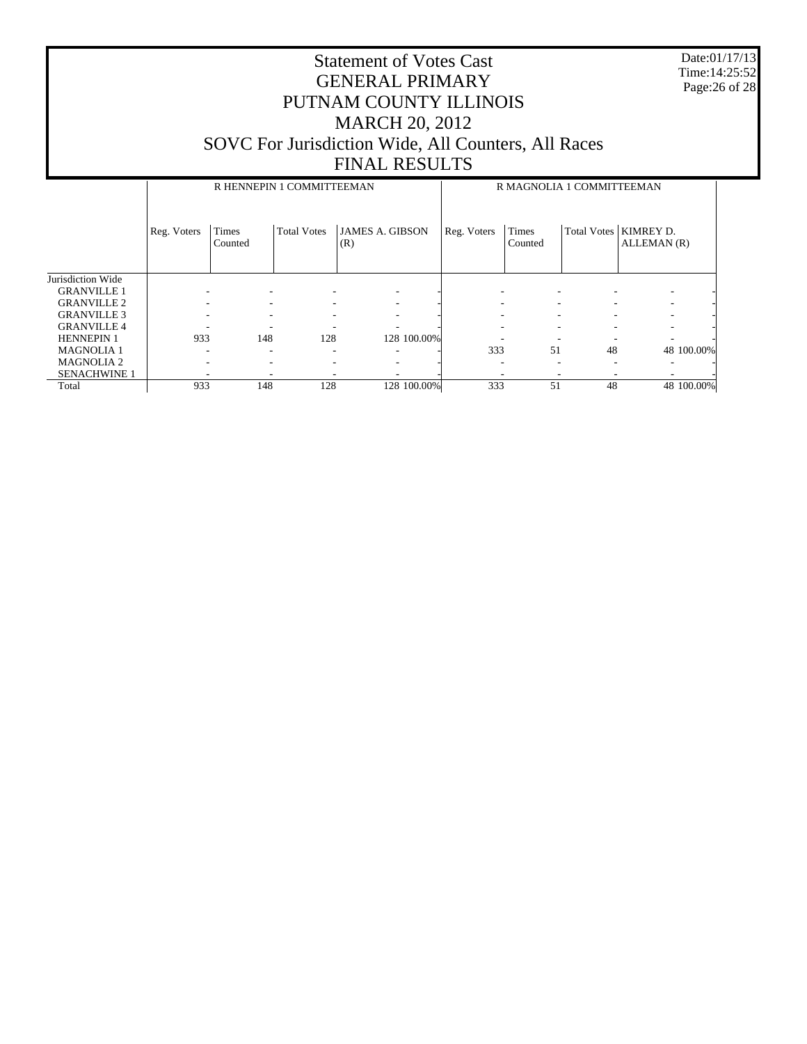Date:01/17/13 Time:14:25:52 Page:26 of 28

|                     |             | R HENNEPIN 1 COMMITTEEMAN |                    |                               |             |                          | R MAGNOLIA 1 COMMITTEEMAN |                          |
|---------------------|-------------|---------------------------|--------------------|-------------------------------|-------------|--------------------------|---------------------------|--------------------------|
|                     | Reg. Voters | Times<br>Counted          | <b>Total Votes</b> | <b>JAMES A. GIBSON</b><br>(R) | Reg. Voters | <b>Times</b><br>Counted  | Total Votes               | KIMREY D.<br>ALLEMAN (R) |
| Jurisdiction Wide   |             |                           |                    |                               |             |                          |                           |                          |
| <b>GRANVILLE 1</b>  |             |                           |                    |                               | ۰           |                          |                           |                          |
| <b>GRANVILLE 2</b>  |             |                           |                    |                               | ۰           |                          |                           |                          |
| <b>GRANVILLE 3</b>  |             |                           |                    |                               | -           |                          |                           |                          |
| <b>GRANVILLE 4</b>  |             |                           |                    |                               |             |                          |                           |                          |
| <b>HENNEPIN 1</b>   | 933         | 148                       | 128                | 128 100.00%                   |             |                          |                           |                          |
| <b>MAGNOLIA 1</b>   |             | ۰                         | ۰                  |                               | 333         | 51                       | 48                        | 48 100.00%               |
| <b>MAGNOLIA2</b>    |             | ۰                         |                    |                               | ۰           |                          |                           |                          |
| <b>SENACHWINE 1</b> |             |                           |                    |                               | ٠           | $\overline{\phantom{a}}$ |                           |                          |
| Total               | 933         | 148                       | 128                | 128 100.00%                   | 333         | 51                       | 48                        | 48 100.00%               |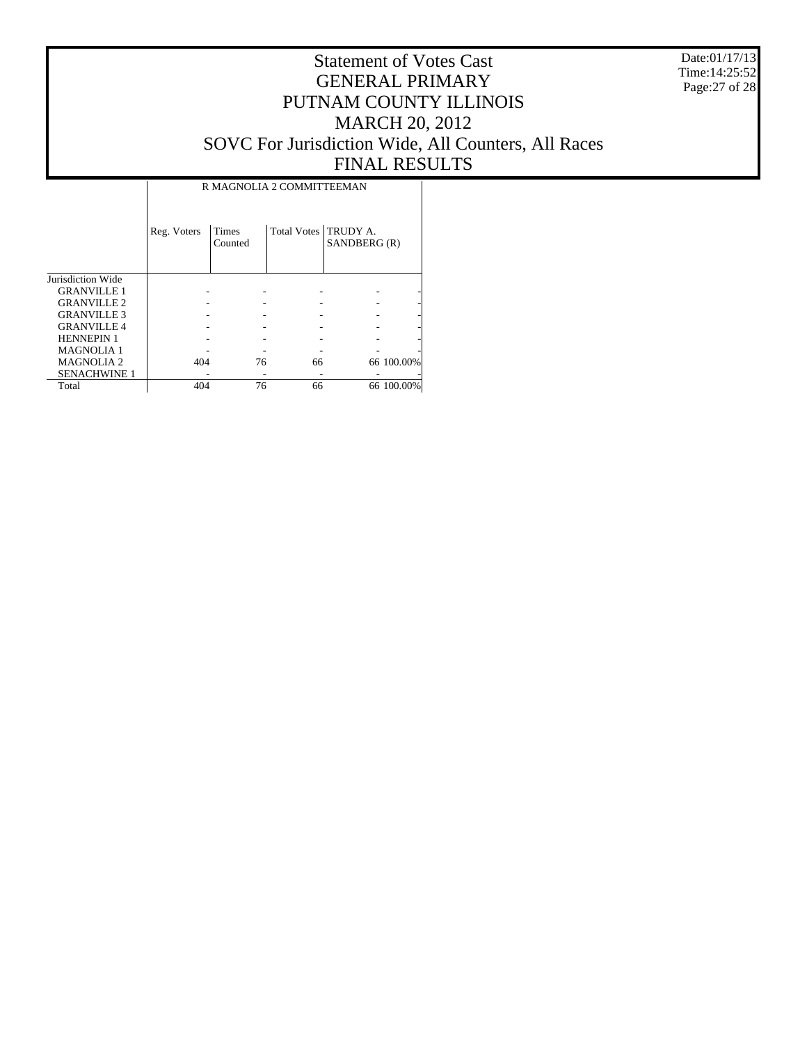Date:01/17/13 Time:14:25:52 Page:27 of 28

## Statement of Votes Cast GENERAL PRIMARY PUTNAM COUNTY ILLINOIS MARCH 20, 2012 SOVC For Jurisdiction Wide, All Counters, All Races FINAL RESULTS

|                     | Reg. Voters | Times<br>Counted | Total Votes   TRUDY A. | SANDBERG (R) |            |
|---------------------|-------------|------------------|------------------------|--------------|------------|
| Jurisdiction Wide   |             |                  |                        |              |            |
| <b>GRANVILLE 1</b>  |             |                  |                        |              |            |
| <b>GRANVILLE 2</b>  |             |                  |                        |              |            |
| <b>GRANVILLE 3</b>  |             |                  |                        |              |            |
| <b>GRANVILLE 4</b>  |             |                  |                        |              |            |
| <b>HENNEPIN 1</b>   |             |                  |                        |              |            |
| <b>MAGNOLIA 1</b>   |             |                  |                        |              |            |
| <b>MAGNOLIA2</b>    | 404         | 76               | 66                     |              | 66 100.00% |
| <b>SENACHWINE 1</b> |             |                  |                        |              |            |
| Total               | 404         | 76               | 66                     |              | 66 100.00% |

 $\mathbf{I}$ 

R MAGNOLIA 2 COMMITTEEMAN